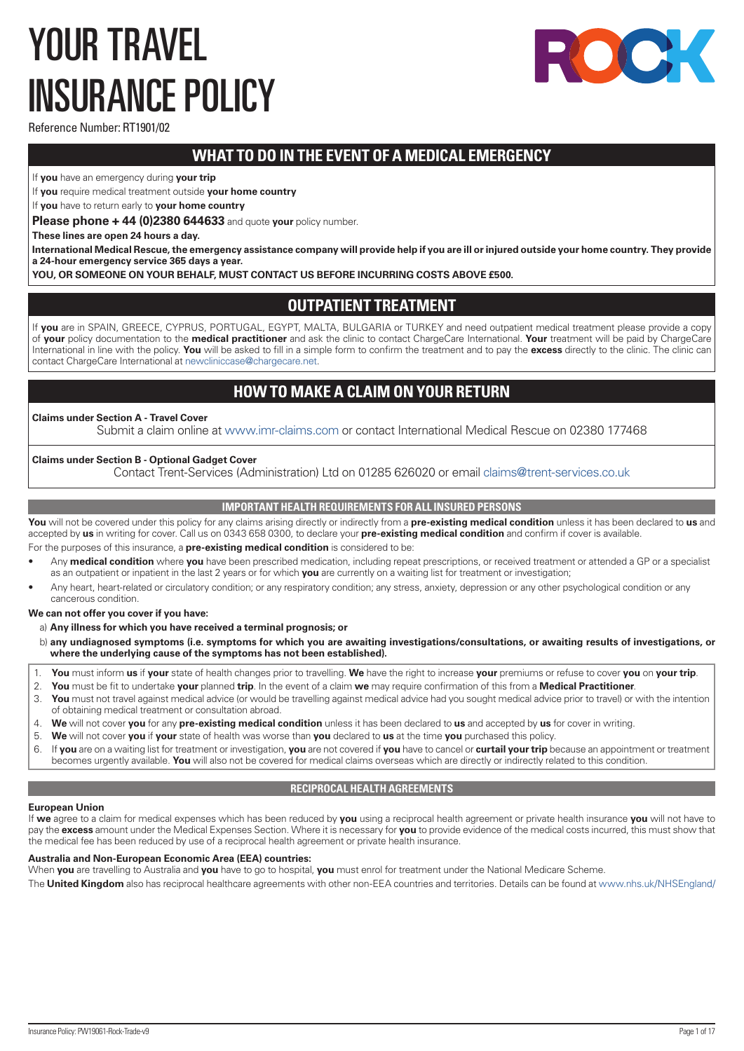# <span id="page-0-0"></span>YOUR TRAVEL INSURANCE POLICY



Reference Number: RT1901/02

# **WHAT TO DO IN THE EVENT OF A MEDICAL EMERGENCY**

If **you** have an emergency during **your trip**

If **you** require medical treatment outside **your home country**

If **you** have to return early to **your home country**

**Please phone + 44 (0)2380 644633** and quote **your** policy number.

**These lines are open 24 hours a day.** 

**International Medical Rescue, the emergency assistance company will provide help if you are ill or injured outside your home country. They provide a 24-hour emergency service 365 days a year.**

**YOU, OR SOMEONE ON YOUR BEHALF, MUST CONTACT US BEFORE INCURRING COSTS ABOVE £500.**

# **OUTPATIENT TREATMENT**

If **you** are in SPAIN, GREECE, CYPRUS, PORTUGAL, EGYPT, MALTA, BULGARIA or TURKEY and need outpatient medical treatment please provide a copy of **your** policy documentation to the **medical practitioner** and ask the clinic to contact ChargeCare International. **Your** treatment will be paid by ChargeCare International in line with the policy. **You** will be asked to fill in a simple form to confirm the treatment and to pay the **excess** directly to the clinic. The clinic can contact ChargeCare International at [newcliniccase@chargecare.net](mailto:newcliniccase@chargecare.net).

# **HOW TO MAKE A CLAIM ON YOUR RETURN**

# **Claims under Section A - Travel Cover**

Submit a claim online at [www.imr-claims.com](http://www.imr-claims.com) or contact International Medical Rescue on 02380 177468

# **Claims under Section B - Optional Gadget Cover**

Contact Trent-Services (Administration) Ltd on 01285 626020 or email [claims@trent-services.co.uk](mailto:claims@trent-services.co.uk)

# **IMPORTANT HEALTH REQUIREMENTS FOR ALL INSURED PERSONS**

**You** will not be covered under this policy for any claims arising directly or indirectly from a **pre-existing medical condition** unless it has been declared to **us** and accepted by **us** in writing for cover. Call us on 0343 658 0300, to declare your **pre-existing medical condition** and confirm if cover is available. For the purposes of this insurance, a **pre-existing medical condition** is considered to be:

- Any **medical condition** where **you** have been prescribed medication, including repeat prescriptions, or received treatment or attended a GP or a specialist as an outpatient or inpatient in the last 2 years or for which **you** are currently on a waiting list for treatment or investigation;
- Any heart, heart-related or circulatory condition; or any respiratory condition; any stress, anxiety, depression or any other psychological condition or any cancerous condition.

**We can not offer you cover if you have:**

# a) **Any illness for which you have received a terminal prognosis; or**

- b) **any undiagnosed symptoms (i.e. symptoms for which you are awaiting investigations/consultations, or awaiting results of investigations, or where the underlying cause of the symptoms has not been established).**
- 1. **You** must inform **us** if **your** state of health changes prior to travelling. **We** have the right to increase **your** premiums or refuse to cover **you** on **your trip**.
- 2. **You** must be fit to undertake **your** planned **trip**. In the event of a claim **we** may require confirmation of this from a **Medical Practitioner**.
- 3. **You** must not travel against medical advice (or would be travelling against medical advice had you sought medical advice prior to travel) or with the intention of obtaining medical treatment or consultation abroad.
- 4. **We** will not cover **you** for any **pre-existing medical condition** unless it has been declared to **us** and accepted by **us** for cover in writing.
- 5. **We** will not cover **you** if **your** state of health was worse than **you** declared to **us** at the time **you** purchased this policy.
- 6. If **you** are on a waiting list for treatment or investigation, **you** are not covered if **you** have to cancel or **curtail your trip** because an appointment or treatment becomes urgently available. **You** will also not be covered for medical claims overseas which are directly or indirectly related to this condition.

# **RECIPROCAL HEALTH AGREEMENTS**

# **European Union**

If **we** agree to a claim for medical expenses which has been reduced by **you** using a reciprocal health agreement or private health insurance **you** will not have to pay the **excess** amount under the Medical Expenses Section. Where it is necessary for **you** to provide evidence of the medical costs incurred, this must show that the medical fee has been reduced by use of a reciprocal health agreement or private health insurance.

# **Australia and Non-European Economic Area (EEA) countries:**

When **you** are travelling to Australia and **you** have to go to hospital, **you** must enrol for treatment under the National Medicare Scheme.

The **United Kingdom** also has reciprocal healthcare agreements with other non-EEA countries and territories. Details can be found at [www.nhs.uk/NHSEngland/](http://www.nhs.uk/NHSEngland/)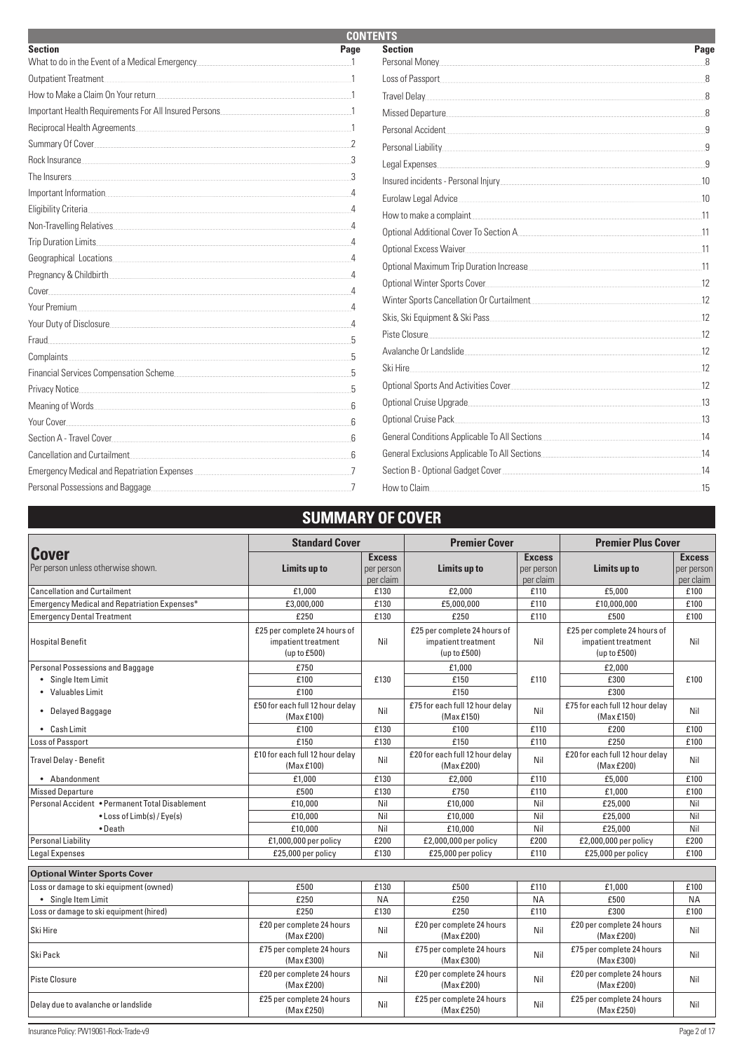| <b>CONTENTS</b>                                                                                                                                                                                                                |      |                                                                                                                                                                                                                                      |      |  |
|--------------------------------------------------------------------------------------------------------------------------------------------------------------------------------------------------------------------------------|------|--------------------------------------------------------------------------------------------------------------------------------------------------------------------------------------------------------------------------------------|------|--|
| <b>Section</b>                                                                                                                                                                                                                 | Page | <b>Section</b>                                                                                                                                                                                                                       | Page |  |
| What to do in the Event of a Medical Emergency                                                                                                                                                                                 |      |                                                                                                                                                                                                                                      |      |  |
| Outpatient Treatment                                                                                                                                                                                                           |      | Loss of Passport                                                                                                                                                                                                                     |      |  |
| How to Make a Claim On Your return 1                                                                                                                                                                                           |      |                                                                                                                                                                                                                                      |      |  |
|                                                                                                                                                                                                                                |      |                                                                                                                                                                                                                                      |      |  |
| Reciprocal Health Agreements                                                                                                                                                                                                   |      | Personal Accident and the contract of the contract of the contract of the contract of the contract of the contract of the contract of the contract of the contract of the contract of the contract of the contract of the cont       |      |  |
|                                                                                                                                                                                                                                |      |                                                                                                                                                                                                                                      |      |  |
| Rock Insurance 3. All and the set of the set of the set of the set of the set of the set of the set of the set of the set of the set of the set of the set of the set of the set of the set of the set of the set of the set o |      | Legal Expenses entrance and the contract of the contract of the contract of the contract of the contract of the                                                                                                                      |      |  |
| The Insurers.                                                                                                                                                                                                                  |      |                                                                                                                                                                                                                                      | 10   |  |
|                                                                                                                                                                                                                                |      | Eurolaw Legal Advice                                                                                                                                                                                                                 | 10   |  |
| Eligibility Criteria.                                                                                                                                                                                                          |      |                                                                                                                                                                                                                                      | 11   |  |
|                                                                                                                                                                                                                                |      |                                                                                                                                                                                                                                      |      |  |
| Trip Duration Limits                                                                                                                                                                                                           |      | Optional Excess Waiver                                                                                                                                                                                                               | 11   |  |
| Geographical Locations                                                                                                                                                                                                         |      | Optional Maximum Trip Duration Increase                                                                                                                                                                                              |      |  |
| Pregnancy & Childbirth                                                                                                                                                                                                         |      |                                                                                                                                                                                                                                      |      |  |
| Cover                                                                                                                                                                                                                          |      | Optional Winter Sports Cover                                                                                                                                                                                                         |      |  |
| Your Premium                                                                                                                                                                                                                   |      |                                                                                                                                                                                                                                      | 12   |  |
| Your Duty of Disclosure                                                                                                                                                                                                        |      | Skis, Ski Equipment & Ski Pass                                                                                                                                                                                                       |      |  |
| Fraud.                                                                                                                                                                                                                         |      | Piste Closure                                                                                                                                                                                                                        |      |  |
| Complaints                                                                                                                                                                                                                     |      | Avalanche Or Landslide et al. and a series and a series of the series of the series of the series of the series                                                                                                                      | 12   |  |
|                                                                                                                                                                                                                                |      | Ski Hire                                                                                                                                                                                                                             |      |  |
| Privacy Notice                                                                                                                                                                                                                 |      |                                                                                                                                                                                                                                      | 12   |  |
|                                                                                                                                                                                                                                |      | Optional Cruise Upgrade. <b>Contract Contract Contract Contract Contract Contract Contract Contract Contract Contract Contract Contract Contract Contract Contract Contract Contract Contract Contract Contract Contract Contrac</b> | - 13 |  |
| Your Cover                                                                                                                                                                                                                     |      | Optional Cruise Pack                                                                                                                                                                                                                 |      |  |
| Section A - Travel Cover                                                                                                                                                                                                       |      |                                                                                                                                                                                                                                      |      |  |
| Cancellation and Curtailment                                                                                                                                                                                                   |      |                                                                                                                                                                                                                                      | 14   |  |
|                                                                                                                                                                                                                                |      |                                                                                                                                                                                                                                      |      |  |
| Personal Possessions and Baggage                                                                                                                                                                                               |      | How to Claim                                                                                                                                                                                                                         | 15   |  |

# **SUMMARY OF COVER**

|                                                 | <b>Standard Cover</b>                                               |                                          | <b>Premier Cover</b>                                                |                                          | <b>Premier Plus Cover</b>                                           |                                          |
|-------------------------------------------------|---------------------------------------------------------------------|------------------------------------------|---------------------------------------------------------------------|------------------------------------------|---------------------------------------------------------------------|------------------------------------------|
| Cover<br>Per person unless otherwise shown.     | <b>Limits up to</b>                                                 | <b>Excess</b><br>per person<br>per claim | Limits up to                                                        | <b>Excess</b><br>per person<br>per claim | Limits up to                                                        | <b>Excess</b><br>per person<br>per claim |
| <b>Cancellation and Curtailment</b>             | £1.000                                                              | £130                                     | £2.000                                                              | £110                                     | £5.000                                                              | £100                                     |
| Emergency Medical and Repatriation Expenses*    | £3,000,000                                                          | £130                                     | £5.000.000                                                          | £110                                     | £10.000.000                                                         | £100                                     |
| <b>Emergency Dental Treatment</b>               | £250                                                                | £130                                     | £250                                                                | £110                                     | £500                                                                | £100                                     |
| Hospital Benefit                                | £25 per complete 24 hours of<br>impatient treatment<br>(up to £500) | Nil                                      | £25 per complete 24 hours of<br>impatient treatment<br>(up to £500) | Nil                                      | £25 per complete 24 hours of<br>impatient treatment<br>(up to £500) | Nil                                      |
| Personal Possessions and Baggage                | £750                                                                |                                          | £1,000                                                              |                                          | £2,000                                                              |                                          |
| • Single Item Limit                             | £100                                                                | £130                                     | £150                                                                | £110                                     | £300                                                                | £100                                     |
| • Valuables Limit                               | £100                                                                |                                          | £150                                                                |                                          | £300                                                                |                                          |
| • Delayed Baggage                               | £50 for each full 12 hour delay<br>(Max £100)                       | Nil                                      | £75 for each full 12 hour delay<br>(Max£150)                        | Nil                                      | £75 for each full 12 hour delay<br>(Max £150)                       | Nil                                      |
| • Cash Limit                                    | £100                                                                | £130                                     | £100                                                                | £110                                     | £200                                                                | £100                                     |
| Loss of Passport                                | £150                                                                | £130                                     | £150                                                                | £110                                     | £250                                                                | £100                                     |
| Travel Delay - Benefit                          | £10 for each full 12 hour delay<br>(Max £100)                       | Nil                                      | £20 for each full 12 hour delay<br>(Max £200)                       | Nil                                      | £20 for each full 12 hour delay<br>(Max £200)                       | Nil                                      |
| • Abandonment                                   | £1,000                                                              | £130                                     | £2,000                                                              | £110                                     | £5,000                                                              | £100                                     |
| <b>Missed Departure</b>                         | £500                                                                | £130                                     | £750                                                                | £110                                     | £1,000                                                              | £100                                     |
| Personal Accident • Permanent Total Disablement | £10,000                                                             | Nil                                      | £10,000                                                             | Nil                                      | £25,000                                                             | Nil                                      |
| • Loss of Limb(s) / Eye(s)                      | £10,000                                                             | Nil                                      | £10,000                                                             | Nil                                      | £25,000                                                             | Nil                                      |
| $\bullet$ Death                                 | £10,000                                                             | Nil                                      | £10,000                                                             | Nil                                      | £25,000                                                             | Nil                                      |
| Personal Liability                              | £1,000,000 per policy                                               | £200                                     | £2,000,000 per policy                                               | £200                                     | £2,000,000 per policy                                               | £200                                     |
| <b>Legal Expenses</b>                           | £25,000 per policy                                                  | £130                                     | £25,000 per policy                                                  | £110                                     | £25,000 per policy                                                  | £100                                     |
| <b>Optional Winter Sports Cover</b>             |                                                                     |                                          |                                                                     |                                          |                                                                     |                                          |
| Loss or damage to ski equipment (owned)         | £500                                                                | £130                                     | £500                                                                | £110                                     | £1,000                                                              | £100                                     |
| • Single Item Limit                             | £250                                                                | <b>NA</b>                                | £250                                                                | <b>NA</b>                                | £500                                                                | <b>NA</b>                                |
| Loss or damage to ski equipment (hired)         | £250                                                                | £130                                     | £250                                                                | £110                                     | £300                                                                | £100                                     |
| Ski Hire                                        | £20 per complete 24 hours<br>(Max £200)                             | Nil                                      | £20 per complete 24 hours<br>(Max £200)                             | Nil                                      | £20 per complete 24 hours<br>(Max £200)                             | Nil                                      |
| Ski Pack                                        | £75 per complete 24 hours<br>(Max £300)                             | Nil                                      | £75 per complete 24 hours<br>(Max £300)                             | Nil                                      | £75 per complete 24 hours<br>(MaxE300)                              | Nil                                      |
| Piste Closure                                   | £20 per complete 24 hours<br>(Max £200)                             | Nil                                      | £20 per complete 24 hours<br>(Max £200)                             | Nil                                      | £20 per complete 24 hours<br>(Max £200)                             | Nil                                      |
| Delay due to avalanche or landslide             | £25 per complete 24 hours<br>(Max £250)                             | Nil                                      | £25 per complete 24 hours<br>(Max £250)                             | Nil                                      | £25 per complete 24 hours<br>(MaxE250)                              | Nil                                      |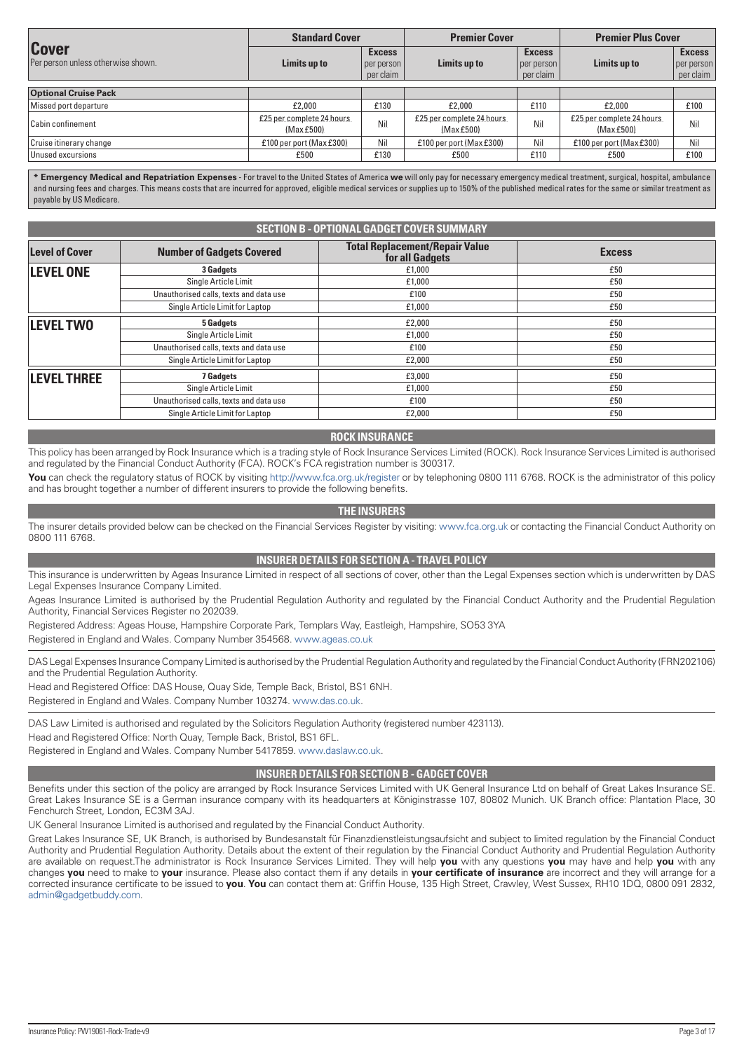<span id="page-2-0"></span>

|                                                    | <b>Standard Cover</b>                   |                                          | <b>Premier Cover</b>                    |                                          | <b>Premier Plus Cover</b>              |                                          |
|----------------------------------------------------|-----------------------------------------|------------------------------------------|-----------------------------------------|------------------------------------------|----------------------------------------|------------------------------------------|
| <b>Cover</b><br>Per person unless otherwise shown. | Limits up to                            | <b>Excess</b><br>per person<br>per claim | Limits up to                            | <b>Excess</b><br>per person<br>per claim | Limits up to                           | <b>Excess</b><br>per person<br>per claim |
| <b>Optional Cruise Pack</b>                        |                                         |                                          |                                         |                                          |                                        |                                          |
| Missed port departure                              | £2,000                                  | £130                                     | £2,000                                  | £110                                     | £2,000                                 | £100                                     |
| <b>Cabin confinement</b>                           | £25 per complete 24 hours<br>(Max £500) | Nil                                      | £25 per complete 24 hours<br>(Max £500) | Nil.                                     | £25 per complete 24 hours<br>(MaxE500) | <b>Nil</b>                               |
| Cruise itinerary change                            | £100 per port (Max £300).               | Nil.                                     | £100 per port (Max £300)                | Nil.                                     | £100 per port (Max £300).              | Nil.                                     |
| Unused excursions                                  | £500                                    | £130                                     | £500                                    | £110                                     | £500                                   | £100                                     |

**\* Emergency Medical and Repatriation Expenses** - For travel to the United States of America **we** will only pay for necessary emergency medical treatment, surgical, hospital, ambulance and nursing fees and charges. This means costs that are incurred for approved, eligible medical services or supplies up to 150% of the published medical rates for the same or similar treatment as payable by US Medicare.

| <b>SECTION B - OPTIONAL GADGET COVER SUMMARY</b> |                                        |                                                          |               |  |
|--------------------------------------------------|----------------------------------------|----------------------------------------------------------|---------------|--|
| <b>Level of Cover</b>                            | <b>Number of Gadgets Covered</b>       | <b>Total Replacement/Repair Value</b><br>for all Gadgets | <b>Excess</b> |  |
| <b>LEVEL ONE</b>                                 | 3 Gadgets                              | £1,000                                                   | £50           |  |
|                                                  | Single Article Limit                   | £1,000                                                   | £50           |  |
|                                                  | Unauthorised calls, texts and data use | £100                                                     | £50           |  |
|                                                  | Single Article Limit for Laptop        | £1,000                                                   | £50           |  |
| <b>LEVEL TWO</b>                                 | <b>5 Gadgets</b>                       | £2,000                                                   | £50           |  |
|                                                  | Single Article Limit                   | £1,000                                                   | £50           |  |
|                                                  | Unauthorised calls, texts and data use | £100                                                     | £50           |  |
|                                                  | Single Article Limit for Laptop        | £2,000                                                   | £50           |  |
| <b>LEVEL THREE</b>                               | <b>7 Gadgets</b>                       | £3,000                                                   | £50           |  |
|                                                  | Single Article Limit                   | £1,000                                                   | £50           |  |
|                                                  | Unauthorised calls, texts and data use | £100                                                     | £50           |  |
|                                                  | Single Article Limit for Laptop        | £2,000                                                   | £50           |  |

#### **ROCK INSURANCE**

This policy has been arranged by Rock Insurance which is a trading style of Rock Insurance Services Limited (ROCK). Rock Insurance Services Limited is authorised and regulated by the Financial Conduct Authority (FCA). ROCK's FCA registration number is 300317.

You can check the regulatory status of ROCK by visiting <http://www.fca.org.uk/register> or by telephoning 0800 111 6768. ROCK is the administrator of this policy and has brought together a number of different insurers to provide the following benefits.

# **THE INSURERS**

The insurer details provided below can be checked on the Financial Services Register by visiting: [www.fca.org.uk](http://www.fca.org.uk) or contacting the Financial Conduct Authority on 0800 111 6768.

# **INSURER DETAILS FOR SECTION A - TRAVEL POLICY**

This insurance is underwritten by Ageas Insurance Limited in respect of all sections of cover, other than the Legal Expenses section which is underwritten by DAS Legal Expenses Insurance Company Limited.

Ageas Insurance Limited is authorised by the Prudential Regulation Authority and regulated by the Financial Conduct Authority and the Prudential Regulation Authority, Financial Services Register no 202039.

Registered Address: Ageas House, Hampshire Corporate Park, Templars Way, Eastleigh, Hampshire, SO53 3YA Registered in England and Wales. Company Number 354568. [www.ageas.co.uk](http://www.ageas.co.uk)

DAS Legal Expenses Insurance Company Limited is authorised by the Prudential Regulation Authority and regulated by the Financial Conduct Authority (FRN202106) and the Prudential Regulation Authority.

Head and Registered Office: DAS House, Quay Side, Temple Back, Bristol, BS1 6NH.

Registered in England and Wales. Company Number 103274. [www.das.co.uk](http://www.das.co.uk).

DAS Law Limited is authorised and regulated by the Solicitors Regulation Authority (registered number 423113). Head and Registered Office: North Quay, Temple Back, Bristol, BS1 6FL. Registered in England and Wales. Company Number 5417859. [www.daslaw.co.uk](http://www.daslaw.co.uk).

#### **INSURER DETAILS FOR SECTION B - GADGET COVER**

Benefits under this section of the policy are arranged by Rock Insurance Services Limited with UK General Insurance Ltd on behalf of Great Lakes Insurance SE. Great Lakes Insurance SE is a German insurance company with its headquarters at Königinstrasse 107, 80802 Munich. UK Branch office: Plantation Place, 30 Fenchurch Street, London, EC3M 3AJ.

UK General Insurance Limited is authorised and regulated by the Financial Conduct Authority.

Great Lakes Insurance SE, UK Branch, is authorised by Bundesanstalt für Finanzdienstleistungsaufsicht and subject to limited regulation by the Financial Conduct Authority and Prudential Regulation Authority. Details about the extent of their regulation by the Financial Conduct Authority and Prudential Regulation Authority are available on request.The administrator is Rock Insurance Services Limited. They will help **you** with any questions **you** may have and help **you** with any changes **you** need to make to **your** insurance. Please also contact them if any details in **your certificate of insurance** are incorrect and they will arrange for a corrected insurance certificate to be issued to **you**. **You** can contact them at: Griffin House, 135 High Street, Crawley, West Sussex, RH10 1DQ, 0800 091 2832, [admin@gadgetbuddy.com](mailto:admin@gadgetbuddy.com).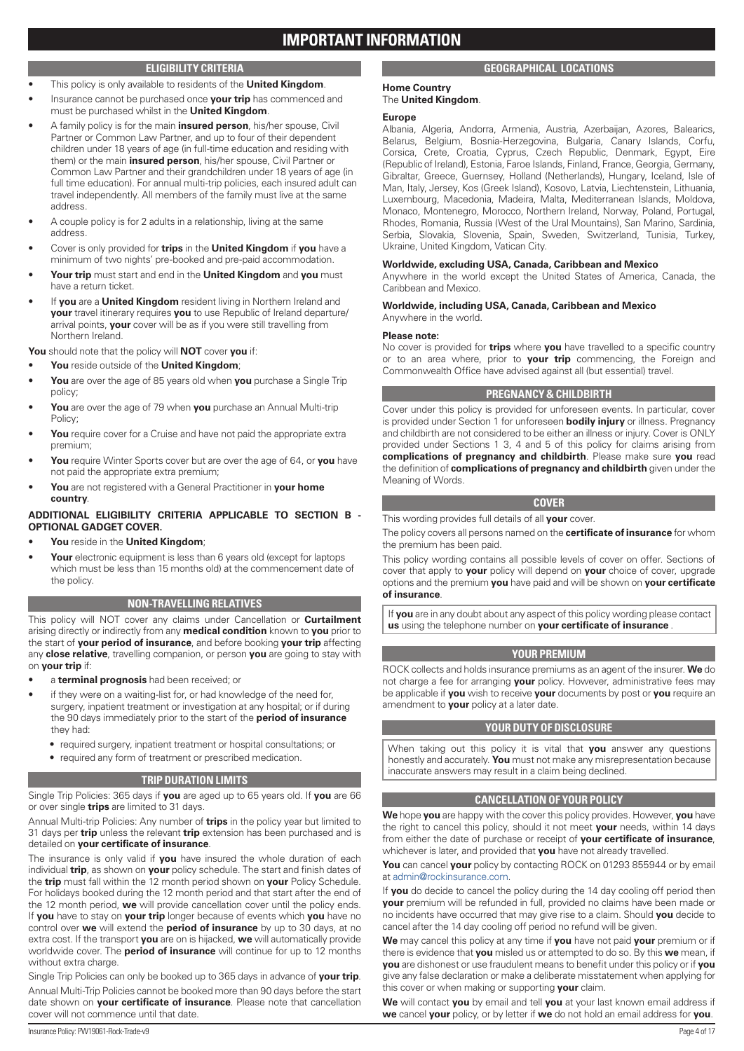# **ELIGIBILITY CRITERIA**

- <span id="page-3-0"></span>• This policy is only available to residents of the **United Kingdom**.
- Insurance cannot be purchased once **your trip** has commenced and must be purchased whilst in the **United Kingdom**.
- A family policy is for the main **insured person**, his/her spouse, Civil Partner or Common Law Partner, and up to four of their dependent children under 18 years of age (in full-time education and residing with them) or the main **insured person**, his/her spouse, Civil Partner or Common Law Partner and their grandchildren under 18 years of age (in full time education). For annual multi-trip policies, each insured adult can travel independently. All members of the family must live at the same address.
- A couple policy is for 2 adults in a relationship, living at the same address.
- Cover is only provided for **trips** in the **United Kingdom** if **you** have a minimum of two nights' pre-booked and pre-paid accommodation.
- **Your trip** must start and end in the **United Kingdom** and **you** must have a return ticket.
- If **you** are a **United Kingdom** resident living in Northern Ireland and **your** travel itinerary requires **you** to use Republic of Ireland departure/ arrival points, **your** cover will be as if you were still travelling from Northern Ireland.

**You** should note that the policy will **NOT** cover **you** if:

- **You** reside outside of the **United Kingdom**;
- **You** are over the age of 85 years old when **you** purchase a Single Trip policy;
- **You** are over the age of 79 when **you** purchase an Annual Multi-trip Policy;
- **You** require cover for a Cruise and have not paid the appropriate extra premium;
- **You** require Winter Sports cover but are over the age of 64, or **you** have not paid the appropriate extra premium;
- **You** are not registered with a General Practitioner in **your home country**.

# **ADDITIONAL ELIGIBILITY CRITERIA APPLICABLE TO SECTION B - OPTIONAL GADGET COVER.**

- **You** reside in the **United Kingdom**;
- **Your** electronic equipment is less than 6 years old (except for laptops) which must be less than 15 months old) at the commencement date of the policy.

# **NON-TRAVELLING RELATIVES**

This policy will NOT cover any claims under Cancellation or **Curtailment** arising directly or indirectly from any **medical condition** known to **you** prior to the start of **your period of insurance**, and before booking **your trip** affecting any **close relative**, travelling companion, or person **you** are going to stay with on **your trip** if:

- a **terminal prognosis** had been received; or
- if they were on a waiting-list for, or had knowledge of the need for, surgery, inpatient treatment or investigation at any hospital; or if during the 90 days immediately prior to the start of the **period of insurance** they had:
	- required surgery, inpatient treatment or hospital consultations; or
	- required any form of treatment or prescribed medication.

# **TRIP DURATION LIMITS**

Single Trip Policies: 365 days if **you** are aged up to 65 years old. If **you** are 66 or over single **trips** are limited to 31 days.

# Annual Multi-trip Policies: Any number of **trips** in the policy year but limited to 31 days per **trip** unless the relevant **trip** extension has been purchased and is detailed on **your certificate of insurance**.

The insurance is only valid if **you** have insured the whole duration of each individual **trip**, as shown on **your** policy schedule. The start and finish dates of the **trip** must fall within the 12 month period shown on **your** Policy Schedule. For holidays booked during the 12 month period and that start after the end of the 12 month period, **we** will provide cancellation cover until the policy ends. If **you** have to stay on **your trip** longer because of events which **you** have no control over **we** will extend the **period of insurance** by up to 30 days, at no extra cost. If the transport **you** are on is hijacked, **we** will automatically provide worldwide cover. The **period of insurance** will continue for up to 12 months without extra charge.

Single Trip Policies can only be booked up to 365 days in advance of **your trip**. Annual Multi-Trip Policies cannot be booked more than 90 days before the start date shown on **your certificate of insurance**. Please note that cancellation cover will not commence until that date.

# **GEOGRAPHICAL LOCATIONS**

#### **Home Country** The **United Kingdom**.

# **Europe**

Albania, Algeria, Andorra, Armenia, Austria, Azerbaijan, Azores, Balearics, Belarus, Belgium, Bosnia-Herzegovina, Bulgaria, Canary Islands, Corfu, Corsica, Crete, Croatia, Cyprus, Czech Republic, Denmark, Egypt, Eire (Republic of Ireland), Estonia, Faroe Islands, Finland, France, Georgia, Germany, Gibraltar, Greece, Guernsey, Holland (Netherlands), Hungary, Iceland, Isle of Man, Italy, Jersey, Kos (Greek Island), Kosovo, Latvia, Liechtenstein, Lithuania, Luxembourg, Macedonia, Madeira, Malta, Mediterranean Islands, Moldova, Monaco, Montenegro, Morocco, Northern Ireland, Norway, Poland, Portugal, Rhodes, Romania, Russia (West of the Ural Mountains), San Marino, Sardinia, Serbia, Slovakia, Slovenia, Spain, Sweden, Switzerland, Tunisia, Turkey, Ukraine, United Kingdom, Vatican City.

# **Worldwide, excluding USA, Canada, Caribbean and Mexico**

Anywhere in the world except the United States of America, Canada, the Caribbean and Mexico.

#### **Worldwide, including USA, Canada, Caribbean and Mexico** Anywhere in the world.

# **Please note:**

No cover is provided for **trips** where **you** have travelled to a specific country or to an area where, prior to **your trip** commencing, the Foreign and Commonwealth Office have advised against all (but essential) travel.

# **PREGNANCY & CHILDBIRTH**

Cover under this policy is provided for unforeseen events. In particular, cover is provided under Section 1 for unforeseen **bodily injury** or illness. Pregnancy and childbirth are not considered to be either an illness or injury. Cover is ONLY provided under Sections 1 3, 4 and 5 of this policy for claims arising from **complications of pregnancy and childbirth**. Please make sure **you** read the definition of **complications of pregnancy and childbirth** given under the Meaning of Words.

# **COVER**

This wording provides full details of all **your** cover.

The policy covers all persons named on the **certificate of insurance** for whom the premium has been paid.

This policy wording contains all possible levels of cover on offer. Sections of cover that apply to **your** policy will depend on **your** choice of cover, upgrade options and the premium **you** have paid and will be shown on **your certificate of insurance**.

If **you** are in any doubt about any aspect of this policy wording please contact **us** using the telephone number on **your certificate of insurance** .

# **YOUR PREMIUM**

ROCK collects and holds insurance premiums as an agent of the insurer. **We** do not charge a fee for arranging **your** policy. However, administrative fees may be applicable if **you** wish to receive **your** documents by post or **you** require an amendment to **your** policy at a later date.

# **YOUR DUTY OF DISCLOSURE**

When taking out this policy it is vital that **you** answer any questions honestly and accurately. **You** must not make any misrepresentation because inaccurate answers may result in a claim being declined.

# **CANCELLATION OF YOUR POLICY**

**We** hope **you** are happy with the cover this policy provides. However, **you** have the right to cancel this policy, should it not meet **your** needs, within 14 days from either the date of purchase or receipt of **your certificate of insurance**, whichever is later, and provided that **you** have not already travelled.

**You** can cancel **your** policy by contacting ROCK on 01293 855944 or by email at [admin@rockinsurance.com](mailto:admin@rockinsurance.com).

If **you** do decide to cancel the policy during the 14 day cooling off period then **your** premium will be refunded in full, provided no claims have been made or no incidents have occurred that may give rise to a claim. Should **you** decide to cancel after the 14 day cooling off period no refund will be given.

**We** may cancel this policy at any time if **you** have not paid **your** premium or if there is evidence that **you** misled us or attempted to do so. By this **we** mean, if **you** are dishonest or use fraudulent means to benefit under this policy or if **you** give any false declaration or make a deliberate misstatement when applying for this cover or when making or supporting **your** claim.

**We** will contact **you** by email and tell **you** at your last known email address if **we** cancel **your** policy, or by letter if **we** do not hold an email address for **you**.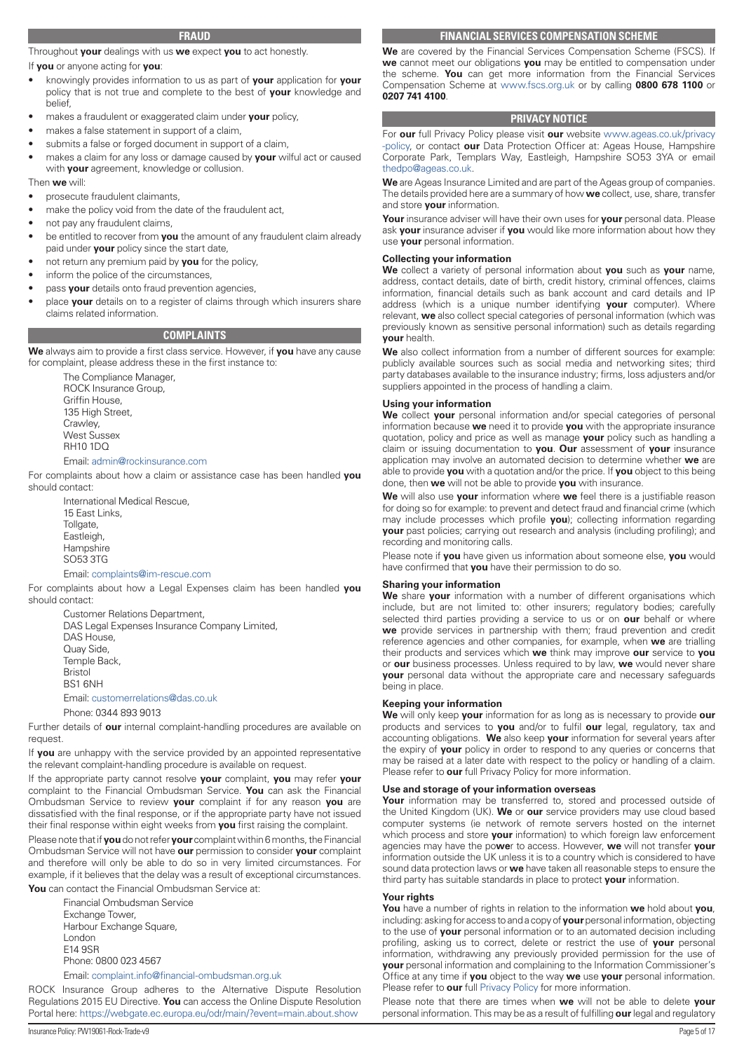#### **FRAUD**

<span id="page-4-0"></span>Throughout **your** dealings with us **we** expect **you** to act honestly.

#### If **you** or anyone acting for **you**:

- knowingly provides information to us as part of **your** application for **your** policy that is not true and complete to the best of **your** knowledge and belief,
- makes a fraudulent or exaggerated claim under **your** policy,
- makes a false statement in support of a claim,
- submits a false or forged document in support of a claim,
- makes a claim for any loss or damage caused by **your** wilful act or caused with **your** agreement, knowledge or collusion.

#### Then **we** will:

- prosecute fraudulent claimants,
- make the policy void from the date of the fraudulent act,
- not pay any fraudulent claims,
- be entitled to recover from **you** the amount of any fraudulent claim already paid under **your** policy since the start date,
- not return any premium paid by **you** for the policy,
- inform the police of the circumstances,
- pass your details onto fraud prevention agencies,
- place **your** details on to a register of claims through which insurers share claims related information.

# **COMPLAINTS**

**We** always aim to provide a first class service. However, if **you** have any cause for complaint, please address these in the first instance to:

> The Compliance Manager, ROCK Insurance Group, Griffin House, 135 High Street, Crawley, West Sussex RH10 1DQ

#### Email: admin@rockinsurance.com

For complaints about how a claim or assistance case has been handled **you** should contact:

International Medical Rescue, 15 East Links, Tollgate, Eastleigh, **Hampshire** SO53 3TG

#### Email: complaints@im-rescue.com

For complaints about how a Legal Expenses claim has been handled **you** should contact:

Customer Relations Department, DAS Legal Expenses Insurance Company Limited, DAS House, Quay Side, Temple Back, Bristol BS1 6NH Email: customerrelations@das.co.uk Phone: 0344 893 9013

Further details of **our** internal complaint-handling procedures are available on request.

If **you** are unhappy with the service provided by an appointed representative the relevant complaint-handling procedure is available on request.

If the appropriate party cannot resolve **your** complaint, **you** may refer **your** complaint to the Financial Ombudsman Service. **You** can ask the Financial Ombudsman Service to review **your** complaint if for any reason **you** are dissatisfied with the final response, or if the appropriate party have not issued their final response within eight weeks from **you** first raising the complaint.

Please note that if **you** do not refer **your** complaint within 6 months, the Financial Ombudsman Service will not have **our** permission to consider **your** complaint and therefore will only be able to do so in very limited circumstances. For example, if it believes that the delay was a result of exceptional circumstances. **You** can contact the Financial Ombudsman Service at:

Financial Ombudsman Service Exchange Tower, Harbour Exchange Square, London E14 9SR Phone: 0800 023 4567

Email: complaint.info@financial-ombudsman.org.uk

ROCK Insurance Group adheres to the Alternative Dispute Resolution Regulations 2015 EU Directive. **You** can access the Online Dispute Resolution Portal here: <https://webgate.ec.europa.eu/odr/main/?event=main.about.show>

**We** are covered by the Financial Services Compensation Scheme (FSCS). If **we** cannot meet our obligations **you** may be entitled to compensation under the scheme. **You** can get more information from the Financial Services Compensation Scheme at [www.fscs.org.uk](http://www.fscs.org.uk) or by calling **0800 678 1100** or **0207 741 4100**.

#### **PRIVACY NOTICE**

For **our** full Privacy Policy please visit **our** website [www.ageas.co.uk/privacy](http://www.ageas.co.uk/privacy-policy) [-policy](http://www.ageas.co.uk/privacy-policy), or contact **our** Data Protection Officer at: Ageas House, Hampshire Corporate Park, Templars Way, Eastleigh, Hampshire SO53 3YA or email [thedpo@ageas.co.uk](mailto:thedpo@ageas.co.uk).

**We** are Ageas Insurance Limited and are part of the Ageas group of companies. The details provided here are a summary of how **we** collect, use, share, transfer and store **your** information.

**Your** insurance adviser will have their own uses for **your** personal data. Please ask **your** insurance adviser if **you** would like more information about how they use **your** personal information.

#### **Collecting your information**

**We** collect a variety of personal information about **you** such as **your** name, address, contact details, date of birth, credit history, criminal offences, claims information, financial details such as bank account and card details and IP address (which is a unique number identifying **your** computer). Where relevant, **we** also collect special categories of personal information (which was previously known as sensitive personal information) such as details regarding **your** health.

**We** also collect information from a number of different sources for example: publicly available sources such as social media and networking sites; third party databases available to the insurance industry; firms, loss adjusters and/or suppliers appointed in the process of handling a claim.

#### **Using your information**

**We** collect **your** personal information and/or special categories of personal information because **we** need it to provide **you** with the appropriate insurance quotation, policy and price as well as manage **your** policy such as handling a claim or issuing documentation to **you**. **Our** assessment of **your** insurance application may involve an automated decision to determine whether **we** are able to provide **you** with a quotation and/or the price. If **you** object to this being done, then **we** will not be able to provide **you** with insurance.

**We** will also use **your** information where **we** feel there is a justifiable reason for doing so for example: to prevent and detect fraud and financial crime (which may include processes which profile **you**); collecting information regarding **your** past policies; carrying out research and analysis (including profiling); and recording and monitoring calls.

Please note if **you** have given us information about someone else, **you** would have confirmed that **you** have their permission to do so.

#### **Sharing your information**

**We** share **your** information with a number of different organisations which include, but are not limited to: other insurers; regulatory bodies; carefully selected third parties providing a service to us or on **our** behalf or where **we** provide services in partnership with them; fraud prevention and credit reference agencies and other companies, for example, when **we** are trialling their products and services which **we** think may improve **our** service to **you** or **our** business processes. Unless required to by law, **we** would never share **your** personal data without the appropriate care and necessary safeguards being in place.

#### **Keeping your information**

**We** will only keep **your** information for as long as is necessary to provide **our** products and services to **you** and/or to fulfil **our** legal, regulatory, tax and accounting obligations. **We** also keep **your** information for several years after the expiry of **your** policy in order to respond to any queries or concerns that may be raised at a later date with respect to the policy or handling of a claim. Please refer to **our** full Privacy Policy for more information.

#### **Use and storage of your information overseas**

Your information may be transferred to, stored and processed outside of the United Kingdom (UK). **We** or **our** service providers may use cloud based computer systems (ie network of remote servers hosted on the internet which process and store **your** information) to which foreign law enforcement agencies may have the po**we**r to access. However, **we** will not transfer **your** information outside the UK unless it is to a country which is considered to have sound data protection laws or **we** have taken all reasonable steps to ensure the third party has suitable standards in place to protect **your** information.

#### **Your rights**

**You** have a number of rights in relation to the information **we** hold about **you**, including: asking for access to and a copy of **your** personal information, objecting to the use of **your** personal information or to an automated decision including profiling, asking us to correct, delete or restrict the use of **your** personal information, withdrawing any previously provided permission for the use of **your** personal information and complaining to the Information Commissioner's Office at any time if **you** object to the way **we** use **your** personal information. Please refer to **our** full [Privacy Policy](https://www.ageas.co.uk/privacy-policies/customers-privacy-policy/) for more information.

Please note that there are times when **we** will not be able to delete **your** personal information. This may be as a result of fulfilling **our** legal and regulatory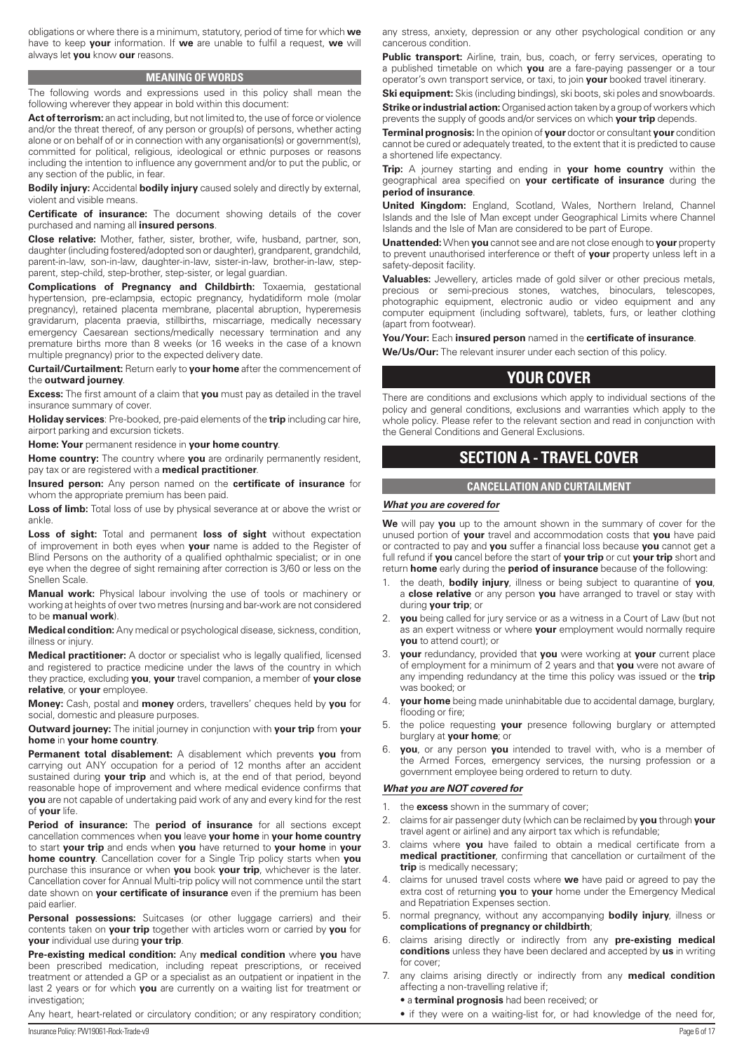<span id="page-5-0"></span>obligations or where there is a minimum, statutory, period of time for which **we** have to keep **your** information. If **we** are unable to fulfil a request, **we** will always let **you** know **our** reasons.

#### **MEANING OF WORDS**

The following words and expressions used in this policy shall mean the following wherever they appear in bold within this document:

Act of terrorism: an act including, but not limited to, the use of force or violence and/or the threat thereof, of any person or group(s) of persons, whether acting alone or on behalf of or in connection with any organisation(s) or government(s), committed for political, religious, ideological or ethnic purposes or reasons including the intention to influence any government and/or to put the public, or any section of the public, in fear.

**Bodily injury:** Accidental **bodily injury** caused solely and directly by external, violent and visible means.

**Certificate of insurance:** The document showing details of the cover purchased and naming all **insured persons**.

**Close relative:** Mother, father, sister, brother, wife, husband, partner, son, daughter (including fostered/adopted son or daughter), grandparent, grandchild, parent-in-law, son-in-law, daughter-in-law, sister-in-law, brother-in-law, stepparent, step-child, step-brother, step-sister, or legal guardian.

**Complications of Pregnancy and Childbirth:** Toxaemia, gestational hypertension, pre-eclampsia, ectopic pregnancy, hydatidiform mole (molar pregnancy), retained placenta membrane, placental abruption, hyperemesis gravidarum, placenta praevia, stillbirths, miscarriage, medically necessary emergency Caesarean sections/medically necessary termination and any premature births more than 8 weeks (or 16 weeks in the case of a known multiple pregnancy) prior to the expected delivery date.

**Curtail/Curtailment:** Return early to **your home** after the commencement of the **outward journey**.

**Excess:** The first amount of a claim that **you** must pay as detailed in the travel insurance summary of cover.

**Holiday services**: Pre-booked, pre-paid elements of the **trip** including car hire, airport parking and excursion tickets.

**Home: Your** permanent residence in **your home country**.

**Home country:** The country where **you** are ordinarily permanently resident, pay tax or are registered with a **medical practitioner**.

**Insured person:** Any person named on the **certificate of insurance** for whom the appropriate premium has been paid.

Loss of limb: Total loss of use by physical severance at or above the wrist or ankle.

**Loss of sight:** Total and permanent **loss of sight** without expectation of improvement in both eyes when **your** name is added to the Register of Blind Persons on the authority of a qualified ophthalmic specialist; or in one eye when the degree of sight remaining after correction is 3/60 or less on the Snellen Scale.

**Manual work:** Physical labour involving the use of tools or machinery or working at heights of over two metres (nursing and bar-work are not considered to be **manual work**).

**Medical condition:** Any medical or psychological disease, sickness, condition, illness or injury.

**Medical practitioner:** A doctor or specialist who is legally qualified, licensed and registered to practice medicine under the laws of the country in which they practice, excluding **you**, **your** travel companion, a member of **your close relative**, or **your** employee.

**Money:** Cash, postal and **money** orders, travellers' cheques held by **you** for social, domestic and pleasure purposes.

**Outward journey:** The initial journey in conjunction with **your trip** from **your home** in **your home country**.

**Permanent total disablement:** A disablement which prevents **you** from carrying out ANY occupation for a period of 12 months after an accident sustained during **your trip** and which is, at the end of that period, beyond reasonable hope of improvement and where medical evidence confirms that **you** are not capable of undertaking paid work of any and every kind for the rest of **your** life.

**Period of insurance:** The **period of insurance** for all sections except cancellation commences when **you** leave **your home** in **your home country** to start **your trip** and ends when **you** have returned to **your home** in **your home country**. Cancellation cover for a Single Trip policy starts when **you** purchase this insurance or when **you** book **your trip**, whichever is the later. Cancellation cover for Annual Multi-trip policy will not commence until the start date shown on **your certificate of insurance** even if the premium has been paid earlier.

Personal possessions: Suitcases (or other luggage carriers) and their contents taken on **your trip** together with articles worn or carried by **you** for **your** individual use during **your trip**.

**Pre-existing medical condition:** Any **medical condition** where **you** have been prescribed medication, including repeat prescriptions, or received treatment or attended a GP or a specialist as an outpatient or inpatient in the last 2 years or for which **you** are currently on a waiting list for treatment or investigation:

Any heart, heart-related or circulatory condition; or any respiratory condition;

any stress, anxiety, depression or any other psychological condition or any cancerous condition.

Public transport: Airline, train, bus, coach, or ferry services, operating to a published timetable on which **you** are a fare-paying passenger or a tour operator's own transport service, or taxi, to join **your** booked travel itinerary.

**Ski equipment:** Skis (including bindings), ski boots, ski poles and snowboards. **Strike or industrial action:** Organised action taken by a group of workers which prevents the supply of goods and/or services on which **your trip** depends.

**Terminal prognosis:** In the opinion of **your** doctor or consultant **your** condition cannot be cured or adequately treated, to the extent that it is predicted to cause a shortened life expectancy.

**Trip:** A journey starting and ending in **your home country** within the geographical area specified on **your certificate of insurance** during the **period of insurance**.

**United Kingdom:** England, Scotland, Wales, Northern Ireland, Channel Islands and the Isle of Man except under Geographical Limits where Channel Islands and the Isle of Man are considered to be part of Europe.

**Unattended:** When **you** cannot see and are not close enough to **your** property to prevent unauthorised interference or theft of **your** property unless left in a safety-deposit facility.

**Valuables:** Jewellery, articles made of gold silver or other precious metals, precious or semi-precious stones, watches, binoculars, telescopes, photographic equipment, electronic audio or video equipment and any computer equipment (including software), tablets, furs, or leather clothing (apart from footwear).

**You/Your:** Each **insured person** named in the **certificate of insurance**.

**We/Us/Our:** The relevant insurer under each section of this policy.

# **YOUR COVER**

There are conditions and exclusions which apply to individual sections of the policy and general conditions, exclusions and warranties which apply to the whole policy. Please refer to the relevant section and read in conjunction with the General Conditions and General Exclusions.

# **SECTION A - TRAVEL COVER**

#### **CANCELLATION AND CURTAILMENT**

#### *What you are covered for*

**We** will pay **you** up to the amount shown in the summary of cover for the unused portion of **your** travel and accommodation costs that **you** have paid or contracted to pay and **you** suffer a financial loss because **you** cannot get a full refund if **you** cancel before the start of **your trip** or cut **your trip** short and return **home** early during the **period of insurance** because of the following:

- 1. the death, **bodily injury**, illness or being subject to quarantine of **you**, a **close relative** or any person **you** have arranged to travel or stay with during **your trip**; or
- 2. **you** being called for jury service or as a witness in a Court of Law (but not as an expert witness or where **your** employment would normally require **you** to attend court); or
- 3. **your** redundancy, provided that **you** were working at **your** current place of employment for a minimum of 2 years and that **you** were not aware of any impending redundancy at the time this policy was issued or the **trip** was booked; or
- 4. **your home** being made uninhabitable due to accidental damage, burglary, flooding or fire;
- 5. the police requesting **your** presence following burglary or attempted burglary at **your home**; or
- **you**, or any person you intended to travel with, who is a member of the Armed Forces, emergency services, the nursing profession or a government employee being ordered to return to duty.

#### *What you are NOT covered for*

- 1. the **excess** shown in the summary of cover;
- 2. claims for air passenger duty (which can be reclaimed by **you** through **your** travel agent or airline) and any airport tax which is refundable;
- 3. claims where **you** have failed to obtain a medical certificate from a **medical practitioner**, confirming that cancellation or curtailment of the **trip** is medically necessary;
- 4. claims for unused travel costs where **we** have paid or agreed to pay the extra cost of returning **you** to **your** home under the Emergency Medical and Repatriation Expenses section.
- 5. normal pregnancy, without any accompanying **bodily injury**, illness or **complications of pregnancy or childbirth**;
- 6. claims arising directly or indirectly from any **pre-existing medical conditions** unless they have been declared and accepted by **us** in writing for cover;
- 7. any claims arising directly or indirectly from any **medical condition** affecting a non-travelling relative if;
	- a **terminal prognosis** had been received; or
	- if they were on a waiting-list for, or had knowledge of the need for,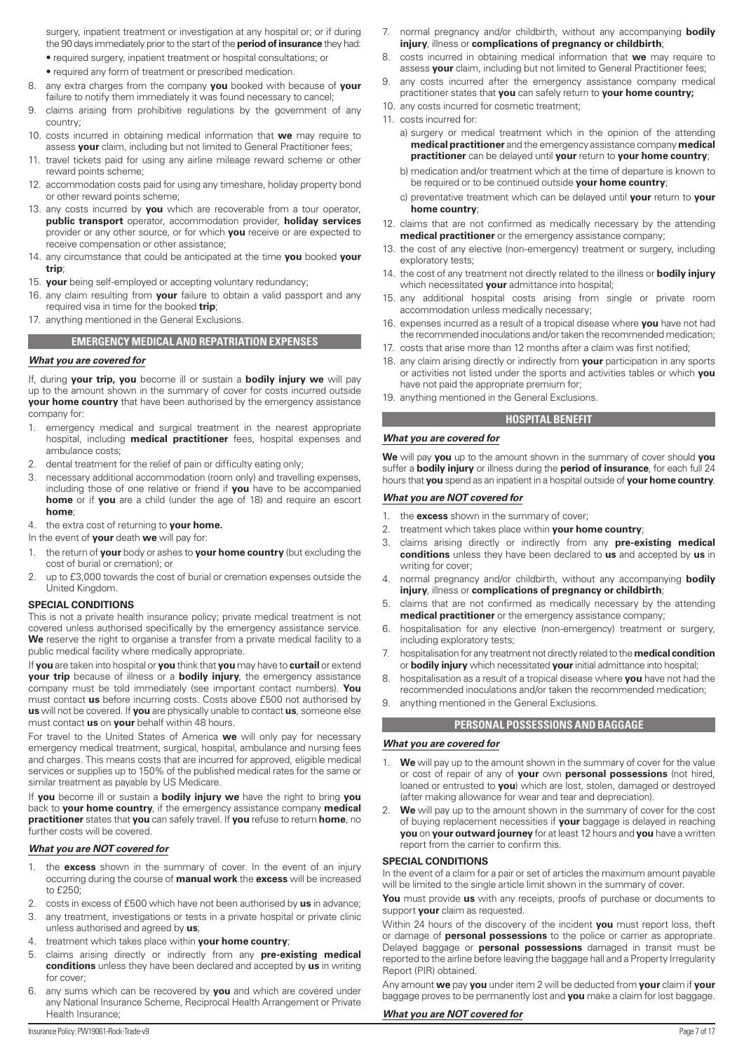<span id="page-6-0"></span>surgery, inpatient treatment or investigation at any hospital or; or if during the 90 days immediately prior to the start of the **period of insurance** they had:

- required surgery, inpatient treatment or hospital consultations; or
- required any form of treatment or prescribed medication.
- 8. any extra charges from the company **you** booked with because of **your**  failure to notify them immediately it was found necessary to cancel;
- 9. claims arising from prohibitive regulations by the government of any country;
- 10. costs incurred in obtaining medical information that **we** may require to assess **your** claim, including but not limited to General Practitioner fees;
- 11. travel tickets paid for using any airline mileage reward scheme or other reward points scheme;
- 12. accommodation costs paid for using any timeshare, holiday property bond or other reward points scheme;
- 13. any costs incurred by **you** which are recoverable from a tour operator, **public transport** operator, accommodation provider, **holiday services** provider or any other source, or for which **you** receive or are expected to receive compensation or other assistance;
- 14. any circumstance that could be anticipated at the time **you** booked **your trip**;
- 15. **your** being self-employed or accepting voluntary redundancy;
- 16. any claim resulting from **your** failure to obtain a valid passport and any required visa in time for the booked **trip**;
- 17. anything mentioned in the General Exclusions.

#### **EMERGENCY MEDICAL AND REPATRIATION EXPENSES**

#### *What you are covered for*

If, during **your trip, you** become ill or sustain a **bodily injury we** will pay up to the amount shown in the summary of cover for costs incurred outside **your home country** that have been authorised by the emergency assistance company for:

- 1. emergency medical and surgical treatment in the nearest appropriate hospital, including **medical practitioner** fees, hospital expenses and ambulance costs;
- 2. dental treatment for the relief of pain or difficulty eating only;
- 3. necessary additional accommodation (room only) and travelling expenses, including those of one relative or friend if **you** have to be accompanied **home** or if **you** are a child (under the age of 18) and require an escort **home**;

#### 4. the extra cost of returning to **your home.**

In the event of **your** death **we** will pay for:

- 1. the return of **your** body or ashes to **your home country** (but excluding the cost of burial or cremation); or
- 2. up to £3,000 towards the cost of burial or cremation expenses outside the United Kingdom.

#### **SPECIAL CONDITIONS**

This is not a private health insurance policy; private medical treatment is not covered unless authorised specifically by the emergency assistance service. **We** reserve the right to organise a transfer from a private medical facility to a public medical facility where medically appropriate.

If **you** are taken into hospital or **you** think that **you** may have to **curtail** or extend **your trip** because of illness or a **bodily injury**, the emergency assistance company must be told immediately (see important contact numbers). **You** must contact **us** before incurring costs. Costs above £500 not authorised by **us** will not be covered. If **you** are physically unable to contact **us**, someone else must contact **us** on **your** behalf within 48 hours.

For travel to the United States of America **we** will only pay for necessary emergency medical treatment, surgical, hospital, ambulance and nursing fees and charges. This means costs that are incurred for approved, eligible medical services or supplies up to 150% of the published medical rates for the same or similar treatment as payable by US Medicare.

If **you** become ill or sustain a **bodily injury we** have the right to bring **you** back to **your home country**, if the emergency assistance company **medical practitioner** states that **you** can safely travel. If **you** refuse to return **home**, no further costs will be covered.

#### *What you are NOT covered for*

- 1. the **excess** shown in the summary of cover. In the event of an injury occurring during the course of **manual work** the **excess** will be increased to £250;
- 2. costs in excess of £500 which have not been authorised by **us** in advance;
- 3. any treatment, investigations or tests in a private hospital or private clinic unless authorised and agreed by **us**;
- 4. treatment which takes place within **your home country**;
- 5. claims arising directly or indirectly from any **pre-existing medical conditions** unless they have been declared and accepted by **us** in writing for cover;
- any sums which can be recovered by **you** and which are covered under any National Insurance Scheme, Reciprocal Health Arrangement or Private Health Insurance;
- 7. normal pregnancy and/or childbirth, without any accompanying **bodily injury**, illness or **complications of pregnancy or childbirth**;
- 8. costs incurred in obtaining medical information that **we** may require to assess **your** claim, including but not limited to General Practitioner fees;
- 9. any costs incurred after the emergency assistance company medical practitioner states that **you** can safely return to **your home country;**
- 10. any costs incurred for cosmetic treatment;
- 11. costs incurred for:

a) surgery or medical treatment which in the opinion of the attending **medical practitioner** and the emergency assistance company **medical practitioner** can be delayed until **your** return to **your home country**;

- b) medication and/or treatment which at the time of departure is known to be required or to be continued outside **your home country**;
- c) preventative treatment which can be delayed until **your** return to **your home country**;
- 12. claims that are not confirmed as medically necessary by the attending **medical practitioner** or the emergency assistance company;
- 13. the cost of any elective (non-emergency) treatment or surgery, including exploratory tests;
- 14. the cost of any treatment not directly related to the illness or **bodily injury**  which necessitated **your** admittance into hospital;
- 15. any additional hospital costs arising from single or private room accommodation unless medically necessary;
- 16. expenses incurred as a result of a tropical disease where **you** have not had the recommended inoculations and/or taken the recommended medication;
- 17. costs that arise more than 12 months after a claim was first notified;
- 18. any claim arising directly or indirectly from **your** participation in any sports or activities not listed under the sports and activities tables or which **you** have not paid the appropriate premium for;
- 19. anything mentioned in the General Exclusions.

# **HOSPITAL BENEFIT**

#### *What you are covered for*

**We** will pay **you** up to the amount shown in the summary of cover should **you** suffer a **bodily injury** or illness during the **period of insurance**, for each full 24 hours that **you** spend as an inpatient in a hospital outside of **your home country**.

#### *What you are NOT covered for*

- 1. the **excess** shown in the summary of cover;
- 2. treatment which takes place within **your home country**;
- 3. claims arising directly or indirectly from any **pre-existing medical conditions** unless they have been declared to **us** and accepted by **us** in writing for cover;
- 4. normal pregnancy and/or childbirth, without any accompanying **bodily injury**, illness or **complications of pregnancy or childbirth**;
- 5. claims that are not confirmed as medically necessary by the attending **medical practitioner** or the emergency assistance company;
- 6. hospitalisation for any elective (non-emergency) treatment or surgery, including exploratory tests;
- 7. hospitalisation for any treatment not directly related to the **medical condition** or **bodily injury** which necessitated **your** initial admittance into hospital;
- 8. hospitalisation as a result of a tropical disease where **you** have not had the recommended inoculations and/or taken the recommended medication;
- 9. anything mentioned in the General Exclusions.

#### **PERSONAL POSSESSIONS AND BAGGAGE**

#### *What you are covered for*

- 1. **We** will pay up to the amount shown in the summary of cover for the value or cost of repair of any of **your** own **personal possessions** (not hired, loaned or entrusted to **you**) which are lost, stolen, damaged or destroyed (after making allowance for wear and tear and depreciation).
- 2. **We** will pay up to the amount shown in the summary of cover for the cost of buying replacement necessities if **your** baggage is delayed in reaching **you** on **your outward journey** for at least 12 hours and **you** have a written report from the carrier to confirm this.

#### **SPECIAL CONDITIONS**

In the event of a claim for a pair or set of articles the maximum amount payable will be limited to the single article limit shown in the summary of cover.

**You** must provide **us** with any receipts, proofs of purchase or documents to support **your** claim as requested.

Within 24 hours of the discovery of the incident **you** must report loss, theft or damage of **personal possessions** to the police or carrier as appropriate. Delayed baggage or **personal possessions** damaged in transit must be reported to the airline before leaving the baggage hall and a Property Irregularity Report (PIR) obtained.

Any amount **we** pay **you** under item 2 will be deducted from **your** claim if **your** baggage proves to be permanently lost and **you** make a claim for lost baggage.

#### *What you are NOT covered for*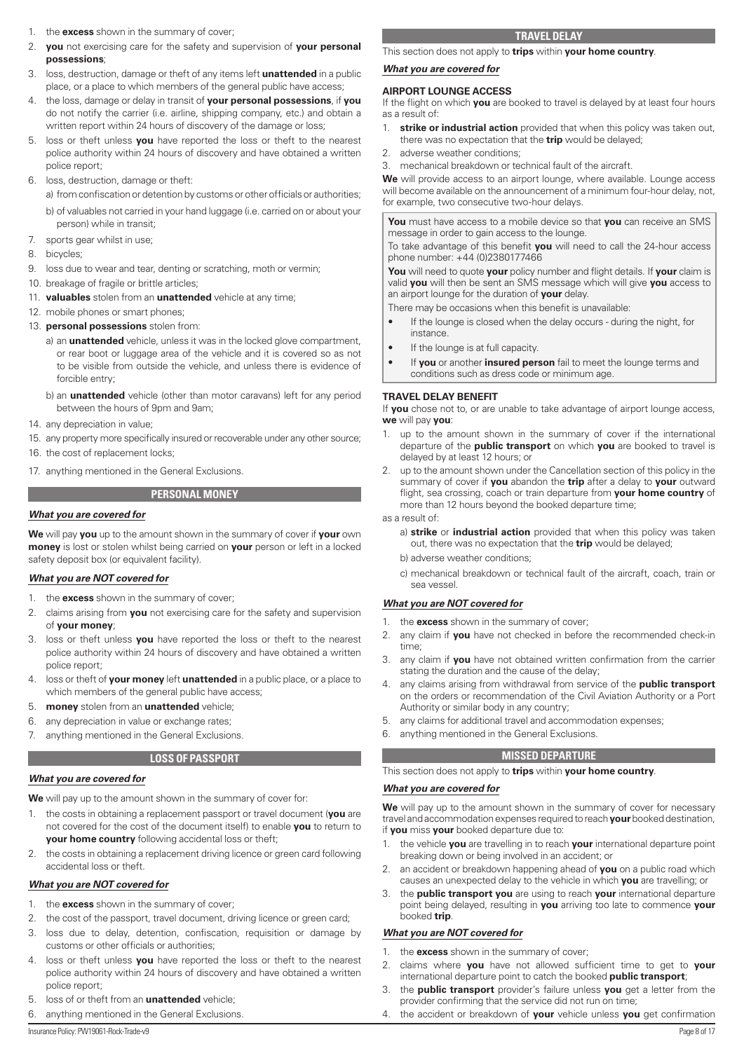- <span id="page-7-0"></span>1. the **excess** shown in the summary of cover;
- 2. **you** not exercising care for the safety and supervision of **your personal possessions**;
- 3. loss, destruction, damage or theft of any items left **unattended** in a public place, or a place to which members of the general public have access;
- 4. the loss, damage or delay in transit of **your personal possessions**, if **you** do not notify the carrier (i.e. airline, shipping company, etc.) and obtain a written report within 24 hours of discovery of the damage or loss;
- 5. loss or theft unless **you** have reported the loss or theft to the nearest police authority within 24 hours of discovery and have obtained a written police report;
- 6. loss, destruction, damage or theft:

a) from confiscation or detention by customs or other officials or authorities; b) of valuables not carried in your hand luggage (i.e. carried on or about your person) while in transit;

- 7. sports gear whilst in use;
- 8. bicycles;
- 9. loss due to wear and tear, denting or scratching, moth or vermin;
- 10. breakage of fragile or brittle articles:
- 11. **valuables** stolen from an **unattended** vehicle at any time;
- 12. mobile phones or smart phones;
- 13. **personal possessions** stolen from:
	- a) an **unattended** vehicle, unless it was in the locked glove compartment, or rear boot or luggage area of the vehicle and it is covered so as not to be visible from outside the vehicle, and unless there is evidence of forcible entry;
	- b) an **unattended** vehicle (other than motor caravans) left for any period between the hours of 9pm and 9am;
- 14. any depreciation in value;
- 15. any property more specifically insured or recoverable under any other source; 16. the cost of replacement locks;
- 
- 17. anything mentioned in the General Exclusions.

# **PERSONAL MONEY**

# *What you are covered for*

**We** will pay **you** up to the amount shown in the summary of cover if **your** own **money** is lost or stolen whilst being carried on **your** person or left in a locked safety deposit box (or equivalent facility).

# *What you are NOT covered for*

- 1. the **excess** shown in the summary of cover;
- 2. claims arising from **you** not exercising care for the safety and supervision of **your money**;
- 3. loss or theft unless **you** have reported the loss or theft to the nearest police authority within 24 hours of discovery and have obtained a written police report;
- 4. loss or theft of **your money** left **unattended** in a public place, or a place to which members of the general public have access;
- 5. **money** stolen from an **unattended** vehicle;
- 6. any depreciation in value or exchange rates;
- 7. anything mentioned in the General Exclusions.

# **LOSS OF PASSPORT**

# *What you are covered for*

**We** will pay up to the amount shown in the summary of cover for:

- 1. the costs in obtaining a replacement passport or travel document (**you** are not covered for the cost of the document itself) to enable **you** to return to **your home country** following accidental loss or theft;
- 2. the costs in obtaining a replacement driving licence or green card following accidental loss or theft.

# *What you are NOT covered for*

- 1. the **excess** shown in the summary of cover;
- 2. the cost of the passport, travel document, driving licence or green card;
- 3. loss due to delay, detention, confiscation, requisition or damage by customs or other officials or authorities;
- 4. loss or theft unless **you** have reported the loss or theft to the nearest police authority within 24 hours of discovery and have obtained a written police report;
- 5. loss of or theft from an **unattended** vehicle;
- 6. anything mentioned in the General Exclusions.

This section does not apply to **trips** within **your home country**.

#### *What you are covered for*

#### **AIRPORT LOUNGE ACCESS**

If the flight on which **you** are booked to travel is delayed by at least four hours as a result of:

- 1. **strike or industrial action** provided that when this policy was taken out, there was no expectation that the **trip** would be delayed;
- 2. adverse weather conditions;
- 3. mechanical breakdown or technical fault of the aircraft.

**We** will provide access to an airport lounge, where available. Lounge access will become available on the announcement of a minimum four-hour delay, not, for example, two consecutive two-hour delays.

**You** must have access to a mobile device so that **you** can receive an SMS message in order to gain access to the lounge.

To take advantage of this benefit **you** will need to call the 24-hour access phone number: +44 (0)2380177466

**You** will need to quote **your** policy number and flight details. If **your** claim is valid **you** will then be sent an SMS message which will give **you** access to an airport lounge for the duration of **your** delay.

There may be occasions when this benefit is unavailable:

- If the lounge is closed when the delay occurs during the night, for instance.
- If the lounge is at full capacity.
- If **you** or another **insured person** fail to meet the lounge terms and conditions such as dress code or minimum age.

#### **TRAVEL DELAY BENEFIT**

If **you** chose not to, or are unable to take advantage of airport lounge access, **we** will pay **you**:

- 1. up to the amount shown in the summary of cover if the international departure of the **public transport** on which **you** are booked to travel is delayed by at least 12 hours; or
- 2. up to the amount shown under the Cancellation section of this policy in the summary of cover if **you** abandon the **trip** after a delay to **your** outward flight, sea crossing, coach or train departure from **your home country** of more than 12 hours beyond the booked departure time;

#### as a result of:

- a) **strike** or **industrial action** provided that when this policy was taken out, there was no expectation that the **trip** would be delayed;
- b) adverse weather conditions;
- c) mechanical breakdown or technical fault of the aircraft, coach, train or sea vessel.

# *What you are NOT covered for*

- 1. the **excess** shown in the summary of cover;
- 2. any claim if **you** have not checked in before the recommended check-in time;
- 3. any claim if **you** have not obtained written confirmation from the carrier stating the duration and the cause of the delay;
- 4. any claims arising from withdrawal from service of the **public transport**  on the orders or recommendation of the Civil Aviation Authority or a Port Authority or similar body in any country;
- 5. any claims for additional travel and accommodation expenses;
- 6. anything mentioned in the General Exclusions.

#### **MISSED DEPARTURE**

This section does not apply to **trips** within **your home country**.

#### *What you are covered for*

**We** will pay up to the amount shown in the summary of cover for necessary travel and accommodation expenses required to reach **your** booked destination, if **you** miss **your** booked departure due to:

- 1. the vehicle **you** are travelling in to reach **your** international departure point breaking down or being involved in an accident; or
- 2. an accident or breakdown happening ahead of **you** on a public road which causes an unexpected delay to the vehicle in which **you** are travelling; or
- 3. the **public transport you** are using to reach **your** international departure point being delayed, resulting in **you** arriving too late to commence **your** booked **trip**.

# *What you are NOT covered for*

- the **excess** shown in the summary of cover;
- 2. claims where **you** have not allowed sufficient time to get to **your** international departure point to catch the booked **public transport**;
- 3. the **public transport** provider's failure unless **you** get a letter from the provider confirming that the service did not run on time;
- 4. the accident or breakdown of **your** vehicle unless **you** get confirmation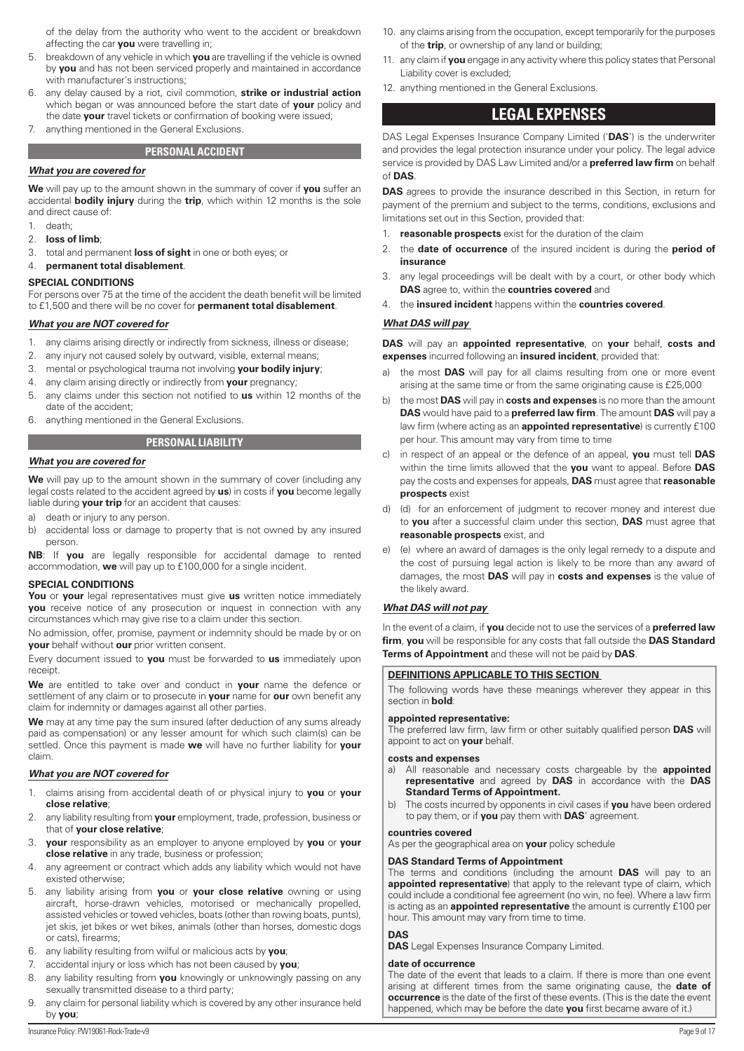<span id="page-8-0"></span>of the delay from the authority who went to the accident or breakdown affecting the car **you** were travelling in;

- 5. breakdown of any vehicle in which **you** are travelling if the vehicle is owned by **you** and has not been serviced properly and maintained in accordance with manufacturer's instructions;
- 6. any delay caused by a riot, civil commotion, **strike or industrial action** which began or was announced before the start date of **your** policy and the date **your** travel tickets or confirmation of booking were issued; 7. anything mentioned in the General Exclusions.

**PERSONAL ACCIDENT** 

# *What you are covered for*

**We** will pay up to the amount shown in the summary of cover if **you** suffer an accidental **bodily injury** during the **trip**, which within 12 months is the sole and direct cause of:

- 1. death;
- 2. **loss of limb**;
- 3. total and permanent **loss of sight** in one or both eyes; or
- 4. **permanent total disablement**.

#### **SPECIAL CONDITIONS**

For persons over 75 at the time of the accident the death benefit will be limited to £1,500 and there will be no cover for **permanent total disablement**.

#### *What you are NOT covered for*

- 1. any claims arising directly or indirectly from sickness, illness or disease;
- 2. any injury not caused solely by outward, visible, external means;
- 3. mental or psychological trauma not involving **your bodily injury**;
- 4. any claim arising directly or indirectly from **your** pregnancy;
- 5. any claims under this section not notified to **us** within 12 months of the date of the accident;
- 6. anything mentioned in the General Exclusions.

# **PERSONAL LIABILITY**

#### *What you are covered for*

**We** will pay up to the amount shown in the summary of cover (including any legal costs related to the accident agreed by **us**) in costs if **you** become legally liable during **your trip** for an accident that causes:

- a) death or injury to any person.
- b) accidental loss or damage to property that is not owned by any insured person.

**NB**: If **you** are legally responsible for accidental damage to rented accommodation, **we** will pay up to £100,000 for a single incident.

#### **SPECIAL CONDITIONS**

**You** or **your** legal representatives must give **us** written notice immediately **you** receive notice of any prosecution or inquest in connection with any circumstances which may give rise to a claim under this section.

No admission, offer, promise, payment or indemnity should be made by or on **your** behalf without **our** prior written consent.

Every document issued to **you** must be forwarded to **us** immediately upon receipt.

**We** are entitled to take over and conduct in **your** name the defence or settlement of any claim or to prosecute in **your** name for **our** own benefit any claim for indemnity or damages against all other parties.

**We** may at any time pay the sum insured (after deduction of any sums already paid as compensation) or any lesser amount for which such claim(s) can be settled. Once this payment is made **we** will have no further liability for **your** claim.

#### *What you are NOT covered for*

- 1. claims arising from accidental death of or physical injury to **you** or **your close relative**;
- 2. any liability resulting from **your** employment, trade, profession, business or that of **your close relative**;
- 3. **your** responsibility as an employer to anyone employed by **you** or **your close relative** in any trade, business or profession;
- 4. any agreement or contract which adds any liability which would not have existed otherwise;
- 5. any liability arising from **you** or **your close relative** owning or using aircraft, horse-drawn vehicles, motorised or mechanically propelled, assisted vehicles or towed vehicles, boats (other than rowing boats, punts), jet skis, jet bikes or wet bikes, animals (other than horses, domestic dogs or cats), firearms;
- 6. any liability resulting from wilful or malicious acts by **you**;
- 7. accidental injury or loss which has not been caused by **you**;
- 8. any liability resulting from **you** knowingly or unknowingly passing on any sexually transmitted disease to a third party;
- 9. any claim for personal liability which is covered by any other insurance held by **you**;
- 10. any claims arising from the occupation, except temporarily for the purposes of the **trip**, or ownership of any land or building;
- 11. any claim if **you** engage in any activity where this policy states that Personal Liability cover is excluded;
- 12. anything mentioned in the General Exclusions.

# **LEGAL EXPENSES**

DAS Legal Expenses Insurance Company Limited ('**DAS**') is the underwriter and provides the legal protection insurance under your policy. The legal advice service is provided by DAS Law Limited and/or a **preferred law firm** on behalf of **DAS**.

**DAS** agrees to provide the insurance described in this Section, in return for payment of the premium and subject to the terms, conditions, exclusions and limitations set out in this Section, provided that:

- 1. **reasonable prospects** exist for the duration of the claim
- 2. the **date of occurrence** of the insured incident is during the **period of insurance**
- 3. any legal proceedings will be dealt with by a court, or other body which **DAS** agree to, within the **countries covered** and
- 4. the **insured incident** happens within the **countries covered**.

# *What DAS will pay*

**DAS** will pay an **appointed representative**, on **your** behalf, **costs and expenses** incurred following an **insured incident**, provided that:

- a) the most **DAS** will pay for all claims resulting from one or more event arising at the same time or from the same originating cause is £25,000
- b) the most **DAS** will pay in **costs and expenses** is no more than the amount **DAS** would have paid to a **preferred law firm**. The amount **DAS** will pay a law firm (where acting as an **appointed representative**) is currently £100 per hour. This amount may vary from time to time
- c) in respect of an appeal or the defence of an appeal, **you** must tell **DAS** within the time limits allowed that the **you** want to appeal. Before **DAS** pay the costs and expenses for appeals, **DAS** must agree that **reasonable prospects** exist
- d) (d) for an enforcement of judgment to recover money and interest due to **you** after a successful claim under this section, **DAS** must agree that **reasonable prospects** exist, and
- e) (e) where an award of damages is the only legal remedy to a dispute and the cost of pursuing legal action is likely to be more than any award of damages, the most **DAS** will pay in **costs and expenses** is the value of the likely award.

#### *What DAS will not pay*

In the event of a claim, if **you** decide not to use the services of a **preferred law firm**, **you** will be responsible for any costs that fall outside the **DAS Standard Terms of Appointment** and these will not be paid by **DAS**.

#### **DEFINITIONS APPLICABLE TO THIS SECTION**

The following words have these meanings wherever they appear in this section in **bold**:

#### **appointed representative:**

The preferred law firm, law firm or other suitably qualified person **DAS** will appoint to act on **your** behalf.

#### **costs and expenses**

- a) All reasonable and necessary costs chargeable by the **appointed representative** and agreed by **DAS** in accordance with the **DAS Standard Terms of Appointment.**
- b) The costs incurred by opponents in civil cases if **you** have been ordered to pay them, or if **you** pay them with **DAS**' agreement.

#### **countries covered**

As per the geographical area on **your** policy schedule

#### **DAS Standard Terms of Appointment**

The terms and conditions (including the amount **DAS** will pay to an **appointed representative**) that apply to the relevant type of claim, which could include a conditional fee agreement (no win, no fee). Where a law firm is acting as an **appointed representative** the amount is currently £100 per hour. This amount may vary from time to time.

#### **DAS**

**DAS** Legal Expenses Insurance Company Limited.

#### **date of occurrence**

The date of the event that leads to a claim. If there is more than one event arising at different times from the same originating cause, the **date of occurrence** is the date of the first of these events. (This is the date the event happened, which may be before the date **you** first became aware of it.)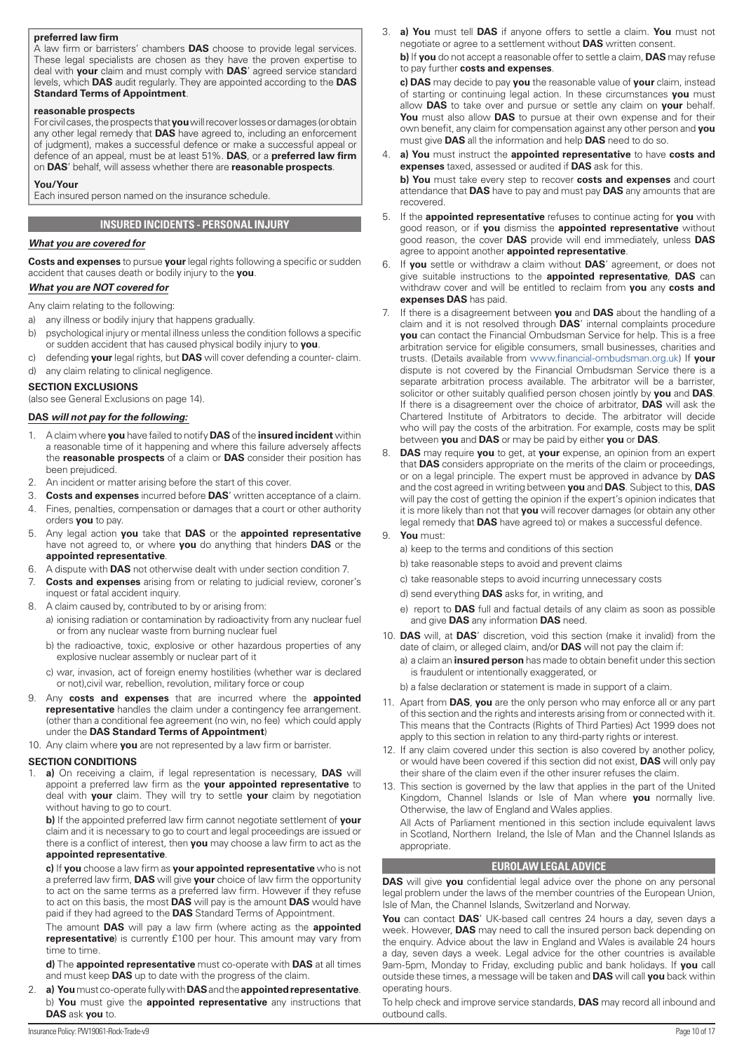#### <span id="page-9-0"></span>**preferred law firm**

A law firm or barristers' chambers **DAS** choose to provide legal services. These legal specialists are chosen as they have the proven expertise to deal with **your** claim and must comply with **DAS**' agreed service standard levels, which **DAS** audit regularly. They are appointed according to the **DAS Standard Terms of Appointment**.

#### **reasonable prospects**

For civil cases, the prospects that **you** will recover losses or damages (or obtain any other legal remedy that **DAS** have agreed to, including an enforcement of judgment), makes a successful defence or make a successful appeal or defence of an appeal, must be at least 51%. **DAS**, or a **preferred law firm** on **DAS**' behalf, will assess whether there are **reasonable prospects**.

#### **You/Your**

Each insured person named on the insurance schedule.

# **INSURED INCIDENTS - PERSONAL INJURY**

# *What you are covered for*

**Costs and expenses** to pursue **your** legal rights following a specific or sudden accident that causes death or bodily injury to the **you**.

# *What you are NOT covered for*

Any claim relating to the following:

- a) any illness or bodily injury that happens gradually.
- b) psychological injury or mental illness unless the condition follows a specific or sudden accident that has caused physical bodily injury to **you**.
- c) defending **your** legal rights, but **DAS** will cover defending a counter- claim.
- d) any claim relating to clinical negligence.

# **SECTION EXCLUSIONS**

(also see General Exclusions on page 14).

# **DAS** *will not pay for the following:*

- 1. A claim where **you** have failed to notify **DAS** of the **insured incident** within a reasonable time of it happening and where this failure adversely affects the **reasonable prospects** of a claim or **DAS** consider their position has been prejudiced.
- 2. An incident or matter arising before the start of this cover.
- 3. **Costs and expenses** incurred before **DAS**' written acceptance of a claim. 4. Fines, penalties, compensation or damages that a court or other authority
- orders **you** to pay. 5. Any legal action **you** take that **DAS** or the **appointed representative** have not agreed to, or where **you** do anything that hinders **DAS** or the **appointed representative**.
- 6. A dispute with **DAS** not otherwise dealt with under section condition 7.
- 7. **Costs and expenses** arising from or relating to judicial review, coroner's inquest or fatal accident inquiry.
- 8. A claim caused by, contributed to by or arising from:
	- a) ionising radiation or contamination by radioactivity from any nuclear fuel or from any nuclear waste from burning nuclear fuel
	- b) the radioactive, toxic, explosive or other hazardous properties of any explosive nuclear assembly or nuclear part of it
	- c) war, invasion, act of foreign enemy hostilities (whether war is declared or not),civil war, rebellion, revolution, military force or coup
- 9. Any **costs and expenses** that are incurred where the **appointed representative** handles the claim under a contingency fee arrangement. (other than a conditional fee agreement (no win, no fee) which could apply under the **DAS Standard Terms of Appointment**)

10. Any claim where **you** are not represented by a law firm or barrister.

# **SECTION CONDITIONS**

1. **a)** On receiving a claim, if legal representation is necessary, **DAS** will appoint a preferred law firm as the **your appointed representative** to deal with **your** claim. They will try to settle **your** claim by negotiation without having to go to court.

**b)** If the appointed preferred law firm cannot negotiate settlement of **your** claim and it is necessary to go to court and legal proceedings are issued or there is a conflict of interest, then **you** may choose a law firm to act as the **appointed representative**.

**c)** If **you** choose a law firm as **your appointed representative** who is not a preferred law firm, **DAS** will give **your** choice of law firm the opportunity to act on the same terms as a preferred law firm. However if they refuse to act on this basis, the most **DAS** will pay is the amount **DAS** would have paid if they had agreed to the **DAS** Standard Terms of Appointment.

The amount **DAS** will pay a law firm (where acting as the **appointed representative**) is currently £100 per hour. This amount may vary from time to time.

**d)** The **appointed representative** must co-operate with **DAS** at all times and must keep **DAS** up to date with the progress of the claim.

2. **a) You** must co-operate fully with **DAS** and the **appointed representative**. b) **You** must give the **appointed representative** any instructions that **DAS** ask **you** to.

3. **a) You** must tell **DAS** if anyone offers to settle a claim. **You** must not negotiate or agree to a settlement without **DAS** written consent.

**b)** If **you** do not accept a reasonable offer to settle a claim, **DAS** may refuse to pay further **costs and expenses**.

**c) DAS** may decide to pay **you** the reasonable value of **your** claim, instead of starting or continuing legal action. In these circumstances **you** must allow **DAS** to take over and pursue or settle any claim on **your** behalf. **You** must also allow **DAS** to pursue at their own expense and for their own benefit, any claim for compensation against any other person and **you** must give **DAS** all the information and help **DAS** need to do so.

- 4. **a) You** must instruct the **appointed representative** to have **costs and expenses** taxed, assessed or audited if **DAS** ask for this. **b) You** must take every step to recover **costs and expenses** and court attendance that **DAS** have to pay and must pay **DAS** any amounts that are recovered.
- 5. If the **appointed representative** refuses to continue acting for **you** with good reason, or if **you** dismiss the **appointed representative** without good reason, the cover **DAS** provide will end immediately, unless **DAS** agree to appoint another **appointed representative**.
- 6. If **you** settle or withdraw a claim without **DAS**' agreement, or does not give suitable instructions to the **appointed representative**, **DAS** can withdraw cover and will be entitled to reclaim from **you** any **costs and expenses DAS** has paid.
- 7. If there is a disagreement between **you** and **DAS** about the handling of a claim and it is not resolved through **DAS**' internal complaints procedure **you** can contact the Financial Ombudsman Service for help. This is a free arbitration service for eligible consumers, small businesses, charities and trusts. (Details available from [www.financial-ombudsman.org.uk](http://www.financial-ombudsman.org.uk)) If **your** dispute is not covered by the Financial Ombudsman Service there is a separate arbitration process available. The arbitrator will be a barrister, solicitor or other suitably qualified person chosen jointly by **you** and **DAS**. If there is a disagreement over the choice of arbitrator, **DAS** will ask the Chartered Institute of Arbitrators to decide. The arbitrator will decide who will pay the costs of the arbitration. For example, costs may be split between **you** and **DAS** or may be paid by either **you** or **DAS**.
- 8. **DAS** may require **you** to get, at **your** expense, an opinion from an expert that **DAS** considers appropriate on the merits of the claim or proceedings, or on a legal principle. The expert must be approved in advance by **DAS** and the cost agreed in writing between **you** and **DAS**. Subject to this, **DAS** will pay the cost of getting the opinion if the expert's opinion indicates that it is more likely than not that **you** will recover damages (or obtain any other legal remedy that **DAS** have agreed to) or makes a successful defence.

# 9. **You** must:

a) keep to the terms and conditions of this section

- b) take reasonable steps to avoid and prevent claims
- c) take reasonable steps to avoid incurring unnecessary costs
- d) send everything **DAS** asks for, in writing, and
- e) report to **DAS** full and factual details of any claim as soon as possible and give **DAS** any information **DAS** need.
- 10. **DAS** will, at **DAS**' discretion, void this section (make it invalid) from the date of claim, or alleged claim, and/or **DAS** will not pay the claim if:
	- a) a claim an **insured person** has made to obtain benefit under this section is fraudulent or intentionally exaggerated, or
	- b) a false declaration or statement is made in support of a claim.
- 11. Apart from **DAS**, **you** are the only person who may enforce all or any part of this section and the rights and interests arising from or connected with it. This means that the Contracts (Rights of Third Parties) Act 1999 does not apply to this section in relation to any third-party rights or interest.
- 12. If any claim covered under this section is also covered by another policy, or would have been covered if this section did not exist, **DAS** will only pay their share of the claim even if the other insurer refuses the claim.
- 13. This section is governed by the law that applies in the part of the United Kingdom, Channel Islands or Isle of Man where **you** normally live. Otherwise, the law of England and Wales applies.

All Acts of Parliament mentioned in this section include equivalent laws in Scotland, Northern Ireland, the Isle of Man and the Channel Islands as appropriate.

# **EUROLAW LEGAL ADVICE**

**DAS** will give **you** confidential legal advice over the phone on any personal legal problem under the laws of the member countries of the European Union, Isle of Man, the Channel Islands, Switzerland and Norway.

**You** can contact **DAS**' UK-based call centres 24 hours a day, seven days a week. However, **DAS** may need to call the insured person back depending on the enquiry. Advice about the law in England and Wales is available 24 hours a day, seven days a week. Legal advice for the other countries is available 9am-5pm, Monday to Friday, excluding public and bank holidays. If **you** call outside these times, a message will be taken and **DAS** will call **you** back within operating hours.

To help check and improve service standards, **DAS** may record all inbound and outbound calls.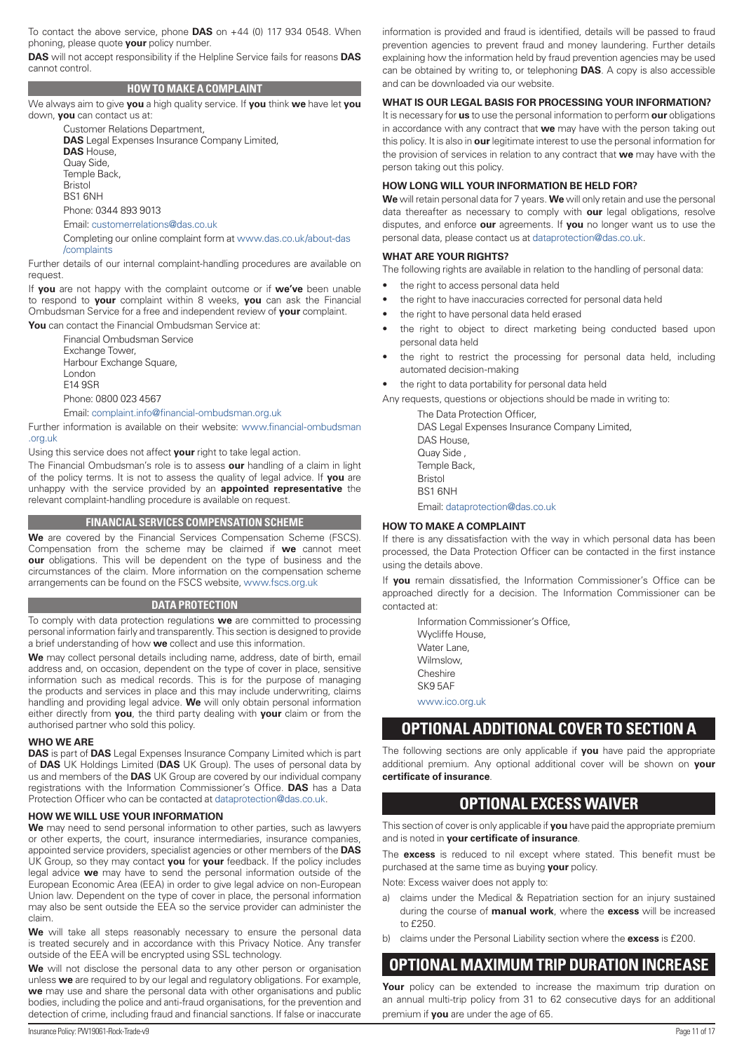<span id="page-10-0"></span>To contact the above service, phone **DAS** on +44 (0) 117 934 0548. When phoning, please quote **your** policy number.

**DAS** will not accept responsibility if the Helpline Service fails for reasons **DAS** cannot control.

# **HOW TO MAKE A COMPLAINT**

We always aim to give **you** a high quality service. If **you** think **we** have let **you** down, **you** can contact us at:

Customer Relations Department, **DAS** Legal Expenses Insurance Company Limited, **DAS** House, Quay Side, Temple Back, Bristol BS1 6NH Phone: 0344 893 9013

Email: customerrelations@das.co.uk

Completing our online complaint form at [www.das.co.uk/about-das](http://www.das.co.uk/about-das/complaints) [/complaints](http://www.das.co.uk/about-das/complaints)

Further details of our internal complaint-handling procedures are available on request.

If **you** are not happy with the complaint outcome or if **we've** been unable to respond to **your** complaint within 8 weeks, **you** can ask the Financial Ombudsman Service for a free and independent review of **your** complaint.

**You** can contact the Financial Ombudsman Service at: Financial Ombudsman Service Exchange Tower, Harbour Exchange Square, London E14 9SR Phone: 0800 023 4567

Email: complaint.info@financial-ombudsman.org.uk

Further information is available on their website: [www.financial-ombudsman](http://www.financial-ombudsman.org.uk) [.org.uk](http://www.financial-ombudsman.org.uk)

Using this service does not affect **your** right to take legal action.

The Financial Ombudsman's role is to assess **our** handling of a claim in light of the policy terms. It is not to assess the quality of legal advice. If **you** are unhappy with the service provided by an **appointed representative** the relevant complaint-handling procedure is available on request.

# **FINANCIAL SERVICES COMPENSATION SCHEME**

**We** are covered by the Financial Services Compensation Scheme (FSCS). Compensation from the scheme may be claimed if **we** cannot meet **our** obligations. This will be dependent on the type of business and the circumstances of the claim. More information on the compensation scheme arrangements can be found on the FSCS website, [www.fscs.org.uk](http://www.fscs.org.uk)

#### **DATA PROTECTION**

To comply with data protection regulations **we** are committed to processing personal information fairly and transparently. This section is designed to provide a brief understanding of how **we** collect and use this information.

**We** may collect personal details including name, address, date of birth, email address and, on occasion, dependent on the type of cover in place, sensitive information such as medical records. This is for the purpose of managing the products and services in place and this may include underwriting, claims handling and providing legal advice. **We** will only obtain personal information either directly from **you**, the third party dealing with **your** claim or from the authorised partner who sold this policy.

#### **WHO WE ARE**

**DAS** is part of **DAS** Legal Expenses Insurance Company Limited which is part of **DAS** UK Holdings Limited (**DAS** UK Group). The uses of personal data by us and members of the **DAS** UK Group are covered by our individual company registrations with the Information Commissioner's Office. **DAS** has a Data Protection Officer who can be contacted at dataprotection@das.co.uk.

#### **HOW WE WILL USE YOUR INFORMATION**

**We** may need to send personal information to other parties, such as lawyers or other experts, the court, insurance intermediaries, insurance companies, appointed service providers, specialist agencies or other members of the **DAS** UK Group, so they may contact **you** for **your** feedback. If the policy includes legal advice **we** may have to send the personal information outside of the European Economic Area (EEA) in order to give legal advice on non-European Union law. Dependent on the type of cover in place, the personal information may also be sent outside the EEA so the service provider can administer the claim.

We will take all steps reasonably necessary to ensure the personal data is treated securely and in accordance with this Privacy Notice. Any transfer outside of the EEA will be encrypted using SSL technology.

We will not disclose the personal data to any other person or organisation unless **we** are required to by our legal and regulatory obligations. For example, **we** may use and share the personal data with other organisations and public bodies, including the police and anti-fraud organisations, for the prevention and detection of crime, including fraud and financial sanctions. If false or inaccurate

information is provided and fraud is identified, details will be passed to fraud prevention agencies to prevent fraud and money laundering. Further details explaining how the information held by fraud prevention agencies may be used can be obtained by writing to, or telephoning **DAS**. A copy is also accessible and can be downloaded via our website.

#### **WHAT IS OUR LEGAL BASIS FOR PROCESSING YOUR INFORMATION?**

It is necessary for **us** to use the personal information to perform **our** obligations in accordance with any contract that **we** may have with the person taking out this policy. It is also in **our** legitimate interest to use the personal information for the provision of services in relation to any contract that **we** may have with the person taking out this policy.

# **HOW LONG WILL YOUR INFORMATION BE HELD FOR?**

**We** will retain personal data for 7 years. **We** will only retain and use the personal data thereafter as necessary to comply with **our** legal obligations, resolve disputes, and enforce **our** agreements. If **you** no longer want us to use the personal data, please contact us at dataprotection@das.co.uk.

#### **WHAT ARE YOUR RIGHTS?**

The following rights are available in relation to the handling of personal data:

- the right to access personal data held
- the right to have inaccuracies corrected for personal data held
- the right to have personal data held erased
- the right to object to direct marketing being conducted based upon personal data held
- the right to restrict the processing for personal data held, including automated decision-making
- the right to data portability for personal data held

Any requests, questions or objections should be made in writing to:

The Data Protection Officer, DAS Legal Expenses Insurance Company Limited, DAS House, Quay Side , Temple Back, Bristol BS1 6NH Email: dataprotection@das.co.uk

#### **HOW TO MAKE A COMPLAINT**

If there is any dissatisfaction with the way in which personal data has been processed, the Data Protection Officer can be contacted in the first instance using the details above.

If **you** remain dissatisfied, the Information Commissioner's Office can be approached directly for a decision. The Information Commissioner can be contacted at:

Information Commissioner's Office,

Wycliffe House,

Water Lane, Wilmslow,

Cheshire

SK9 5AF

[www.ico.org.uk](http://www.ico.org.uk)

# **OPTIONAL ADDITIONAL COVER TO SECTION A**

The following sections are only applicable if **you** have paid the appropriate additional premium. Any optional additional cover will be shown on **your certificate of insurance**.

# **OPTIONAL EXCESS WAIVER**

This section of cover is only applicable if **you** have paid the appropriate premium and is noted in **your certificate of insurance**.

The **excess** is reduced to nil except where stated. This benefit must be purchased at the same time as buying **your** policy.

Note: Excess waiver does not apply to:

- a) claims under the Medical & Repatriation section for an injury sustained during the course of **manual work**, where the **excess** will be increased to £250.
- b) claims under the Personal Liability section where the **excess** is £200.

# **OPTIONAL MAXIMUM TRIP DURATION INCREASE**

Your policy can be extended to increase the maximum trip duration on an annual multi-trip policy from 31 to 62 consecutive days for an additional premium if **you** are under the age of 65.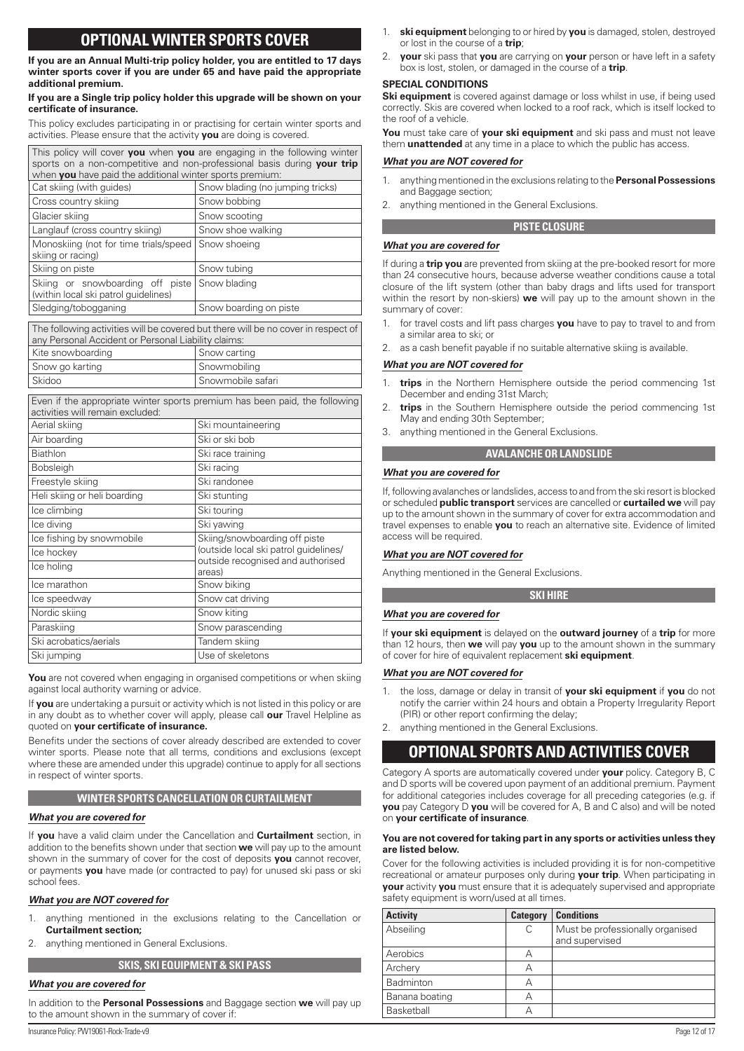# **OPTIONAL WINTER SPORTS COVER**

<span id="page-11-0"></span>**If you are an Annual Multi-trip policy holder, you are entitled to 17 days winter sports cover if you are under 65 and have paid the appropriate additional premium.**

#### **If you are a Single trip policy holder this upgrade will be shown on your certificate of insurance.**

This policy excludes participating in or practising for certain winter sports and activities. Please ensure that the activity **you** are doing is covered.

| This policy will cover you when you are engaging in the following winter |                                                                                   |  |  |
|--------------------------------------------------------------------------|-----------------------------------------------------------------------------------|--|--|
| sports on a non-competitive and non-professional basis during your trip  |                                                                                   |  |  |
| when you have paid the additional winter sports premium:                 |                                                                                   |  |  |
| Cat skiing (with quides)                                                 | Snow blading (no jumping tricks)                                                  |  |  |
| Cross country skiing                                                     | Snow bobbing                                                                      |  |  |
| Glacier skiing                                                           | Snow scooting                                                                     |  |  |
| Langlauf (cross country skiing)                                          | Snow shoe walking                                                                 |  |  |
| Monoskiing (not for time trials/speed<br>skiing or racing)               | Snow shoeing                                                                      |  |  |
| Skiing on piste                                                          | Snow tubing                                                                       |  |  |
| Skiing or snowboarding off piste<br>(within local ski patrol guidelines) | Snow blading                                                                      |  |  |
| Sledging/tobogganing                                                     | Snow boarding on piste                                                            |  |  |
|                                                                          |                                                                                   |  |  |
|                                                                          | The following activities will be covered but there will be no cover in respect of |  |  |
| any Personal Accident or Personal Liability claims:<br>Kite snowboarding | Snow carting                                                                      |  |  |
| Snow go karting                                                          | Snowmobiling                                                                      |  |  |
| Skidoo                                                                   | Snowmobile safari                                                                 |  |  |
| activities will remain excluded:                                         | Even if the appropriate winter sports premium has been paid, the following        |  |  |
| Aerial skiing                                                            | Ski mountaineering                                                                |  |  |
| Air boarding                                                             | Ski or ski bob                                                                    |  |  |

| Air boarding                 | Ski or ski bob                              |
|------------------------------|---------------------------------------------|
| <b>Biathlon</b>              | Ski race training                           |
| <b>Bobsleigh</b>             | Ski racing                                  |
| Freestyle skiing             | Ski randonee                                |
| Heli skiing or heli boarding | Ski stunting                                |
| Ice climbing                 | Ski touring                                 |
| Ice diving                   | Ski yawing                                  |
| Ice fishing by snowmobile    | Skiing/snowboarding off piste               |
| Ice hockey                   | (outside local ski patrol quidelines/       |
| Ice holing                   | outside recognised and authorised<br>areas) |
| Ice marathon                 | Snow biking                                 |
| Ice speedway                 | Snow cat driving                            |
| Nordic skiing                | Snow kiting                                 |
| Paraskiing                   | Snow parascending                           |
| Ski acrobatics/aerials       | Tandem skiing                               |
| Ski jumping                  | Use of skeletons                            |

**You** are not covered when engaging in organised competitions or when skiing against local authority warning or advice.

If **you** are undertaking a pursuit or activity which is not listed in this policy or are in any doubt as to whether cover will apply, please call **our** Travel Helpline as quoted on **your certificate of insurance.**

Benefits under the sections of cover already described are extended to cover winter sports. Please note that all terms, conditions and exclusions (except where these are amended under this upgrade) continue to apply for all sections in respect of winter sports.

# **WINTER SPORTS CANCELLATION OR CURTAILMENT**

# *What you are covered for*

If **you** have a valid claim under the Cancellation and **Curtailment** section, in addition to the benefits shown under that section **we** will pay up to the amount shown in the summary of cover for the cost of deposits **you** cannot recover, or payments **you** have made (or contracted to pay) for unused ski pass or ski school fees.

# *What you are NOT covered for*

- 1. anything mentioned in the exclusions relating to the Cancellation or **Curtailment section;**
- 2. anything mentioned in General Exclusions.

# **SKIS, SKI EQUIPMENT & SKI PASS**

#### *What you are covered for*

In addition to the **Personal Possessions** and Baggage section **we** will pay up to the amount shown in the summary of cover if:

- 1. **ski equipment** belonging to or hired by **you** is damaged, stolen, destroyed or lost in the course of a **trip**;
- 2. **your** ski pass that **you** are carrying on **your** person or have left in a safety box is lost, stolen, or damaged in the course of a **trip**.

#### **SPECIAL CONDITIONS**

**Ski equipment** is covered against damage or loss whilst in use, if being used correctly. Skis are covered when locked to a roof rack, which is itself locked to the roof of a vehicle.

**You** must take care of **your ski equipment** and ski pass and must not leave them **unattended** at any time in a place to which the public has access.

#### *What you are NOT covered for*

*What you are covered for*

- 1. anything mentioned in the exclusions relating to the **Personal Possessions**  and Baggage section;
- anything mentioned in the General Exclusions.

#### **PISTE CLOSURE**

If during a **trip you** are prevented from skiing at the pre-booked resort for more than 24 consecutive hours, because adverse weather conditions cause a total closure of the lift system (other than baby drags and lifts used for transport within the resort by non-skiers) **we** will pay up to the amount shown in the summary of cover:

- 1. for travel costs and lift pass charges **you** have to pay to travel to and from a similar area to ski; or
- 2. as a cash benefit payable if no suitable alternative skiing is available.

#### *What you are NOT covered for*

- 1. **trips** in the Northern Hemisphere outside the period commencing 1st December and ending 31st March;
- 2. **trips** in the Southern Hemisphere outside the period commencing 1st May and ending 30th September;
- 3. anything mentioned in the General Exclusions.

#### **AVALANCHE OR LANDSLIDE**

#### *What you are covered for*

If, following avalanches or landslides, access to and from the ski resort is blocked or scheduled **public transport** services are cancelled or **curtailed we** will pay up to the amount shown in the summary of cover for extra accommodation and travel expenses to enable **you** to reach an alternative site. Evidence of limited access will be required.

# *What you are NOT covered for*

Anything mentioned in the General Exclusions.

# **SKI HIRE**

#### *What you are covered for*

If **your ski equipment** is delayed on the **outward journey** of a **trip** for more than 12 hours, then **we** will pay **you** up to the amount shown in the summary of cover for hire of equivalent replacement **ski equipment**.

#### *What you are NOT covered for*

- 1. the loss, damage or delay in transit of **your ski equipment** if **you** do not notify the carrier within 24 hours and obtain a Property Irregularity Report (PIR) or other report confirming the delay;
- 2. anything mentioned in the General Exclusions.

# **OPTIONAL SPORTS AND ACTIVITIES COVER**

Category A sports are automatically covered under **your** policy. Category B, C and D sports will be covered upon payment of an additional premium. Payment for additional categories includes coverage for all preceding categories (e.g. if **you** pay Category D **you** will be covered for A, B and C also) and will be noted on **your certificate of insurance**.

#### **You are not covered for taking part in any sports or activities unless they are listed below.**

Cover for the following activities is included providing it is for non-competitive recreational or amateur purposes only during **your trip**. When participating in **your** activity **you** must ensure that it is adequately supervised and appropriate safety equipment is worn/used at all times.

| <b>Activity</b> | <b>Category</b> | <b>Conditions</b>                                  |
|-----------------|-----------------|----------------------------------------------------|
| Abseiling       | С               | Must be professionally organised<br>and supervised |
| Aerobics        | А               |                                                    |
| Archery         |                 |                                                    |
| Badminton       |                 |                                                    |
| Banana boating  |                 |                                                    |
| Basketball      |                 |                                                    |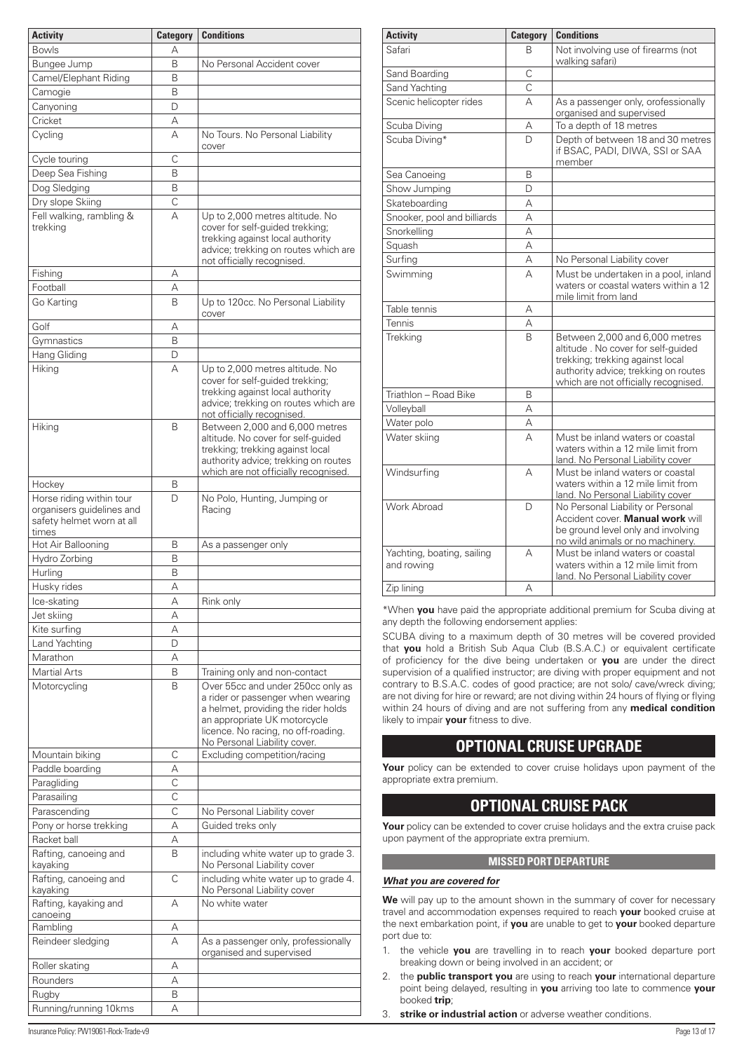<span id="page-12-0"></span>

| <b>Activity</b>                                                                             | <b>Category</b>         | <b>Conditions</b>                                                                                                                                                                                                    |
|---------------------------------------------------------------------------------------------|-------------------------|----------------------------------------------------------------------------------------------------------------------------------------------------------------------------------------------------------------------|
| <b>Bowls</b>                                                                                | А                       |                                                                                                                                                                                                                      |
|                                                                                             |                         |                                                                                                                                                                                                                      |
| Bungee Jump                                                                                 | B                       | No Personal Accident cover                                                                                                                                                                                           |
| Camel/Elephant Riding                                                                       | B                       |                                                                                                                                                                                                                      |
| Camogie                                                                                     | Β                       |                                                                                                                                                                                                                      |
| Canyoning                                                                                   | D                       |                                                                                                                                                                                                                      |
| Cricket                                                                                     | А                       |                                                                                                                                                                                                                      |
| Cycling                                                                                     | А                       | No Tours. No Personal Liability<br>cover                                                                                                                                                                             |
| Cycle touring                                                                               | C                       |                                                                                                                                                                                                                      |
| Deep Sea Fishing                                                                            | B                       |                                                                                                                                                                                                                      |
| Dog Sledging                                                                                | B                       |                                                                                                                                                                                                                      |
| Dry slope Skiing                                                                            | $\overline{\mathrm{C}}$ |                                                                                                                                                                                                                      |
| Fell walking, rambling &<br>trekking                                                        | А                       | Up to 2,000 metres altitude. No<br>cover for self-guided trekking;<br>trekking against local authority<br>advice; trekking on routes which are<br>not officially recognised.                                         |
| Fishing                                                                                     | А                       |                                                                                                                                                                                                                      |
| Football                                                                                    | А                       |                                                                                                                                                                                                                      |
| Go Karting                                                                                  | B                       | Up to 120cc. No Personal Liability                                                                                                                                                                                   |
|                                                                                             |                         | cover                                                                                                                                                                                                                |
| Golf                                                                                        | А                       |                                                                                                                                                                                                                      |
| Gymnastics                                                                                  | B                       |                                                                                                                                                                                                                      |
| Hang Gliding                                                                                | D                       |                                                                                                                                                                                                                      |
| Hiking                                                                                      | А                       | Up to 2,000 metres altitude. No<br>cover for self-guided trekking;<br>trekking against local authority<br>advice; trekking on routes which are<br>not officially recognised.                                         |
| Hiking                                                                                      | B                       | Between 2,000 and 6,000 metres<br>altitude. No cover for self-quided<br>trekking; trekking against local<br>authority advice; trekking on routes<br>which are not officially recognised.                             |
| Hockey                                                                                      | B                       |                                                                                                                                                                                                                      |
| Horse riding within tour<br>organisers guidelines and<br>safety helmet worn at all<br>times | D                       | No Polo, Hunting, Jumping or<br>Racing                                                                                                                                                                               |
| Hot Air Ballooning                                                                          | B                       | As a passenger only                                                                                                                                                                                                  |
| Hydro Zorbing                                                                               | B                       |                                                                                                                                                                                                                      |
| Hurling                                                                                     | B                       |                                                                                                                                                                                                                      |
|                                                                                             | Α                       |                                                                                                                                                                                                                      |
| Husky rides                                                                                 |                         |                                                                                                                                                                                                                      |
| Ice-skating                                                                                 | А                       | Rink only                                                                                                                                                                                                            |
| Jet skiing                                                                                  | А                       |                                                                                                                                                                                                                      |
| Kite surfing                                                                                | А                       |                                                                                                                                                                                                                      |
| Land Yachting                                                                               | D                       |                                                                                                                                                                                                                      |
| Marathon                                                                                    | А                       |                                                                                                                                                                                                                      |
| <b>Martial Arts</b>                                                                         | B                       | Training only and non-contact                                                                                                                                                                                        |
| Motorcycling                                                                                | B                       | Over 55cc and under 250cc only as<br>a rider or passenger when wearing<br>a helmet, providing the rider holds<br>an appropriate UK motorcycle<br>licence. No racing, no off-roading.<br>No Personal Liability cover. |
| Mountain biking                                                                             | C                       | Excluding competition/racing                                                                                                                                                                                         |
| Paddle boarding                                                                             | А                       |                                                                                                                                                                                                                      |
| Paragliding                                                                                 | $\mathsf{C}$            |                                                                                                                                                                                                                      |
| Parasailing                                                                                 | С                       |                                                                                                                                                                                                                      |
| Parascending                                                                                | C                       | No Personal Liability cover                                                                                                                                                                                          |
| Pony or horse trekking                                                                      | А                       | Guided treks only                                                                                                                                                                                                    |
| Racket ball                                                                                 | А                       |                                                                                                                                                                                                                      |
| Rafting, canoeing and<br>kayaking                                                           | B                       | including white water up to grade 3.<br>No Personal Liability cover                                                                                                                                                  |
| Rafting, canoeing and                                                                       | C                       | including white water up to grade 4.                                                                                                                                                                                 |
| kayaking<br>Rafting, kayaking and                                                           | А                       | No Personal Liability cover<br>No white water                                                                                                                                                                        |
| canoeing<br>Rambling                                                                        |                         |                                                                                                                                                                                                                      |
|                                                                                             | Α<br>А                  |                                                                                                                                                                                                                      |
| Reindeer sledging                                                                           |                         | As a passenger only, professionally<br>organised and supervised                                                                                                                                                      |
| Roller skating                                                                              | А                       |                                                                                                                                                                                                                      |
| Rounders                                                                                    | А                       |                                                                                                                                                                                                                      |
| Rugby                                                                                       | B                       |                                                                                                                                                                                                                      |
| Running/running 10kms                                                                       | А                       |                                                                                                                                                                                                                      |

| <b>Activity</b>                          | <b>Category</b> | <b>Conditions</b>                                                                                                                                                                        |
|------------------------------------------|-----------------|------------------------------------------------------------------------------------------------------------------------------------------------------------------------------------------|
| Safari                                   | B               | Not involving use of firearms (not<br>walking safari)                                                                                                                                    |
| Sand Boarding                            | Ċ               |                                                                                                                                                                                          |
| Sand Yachting                            | C               |                                                                                                                                                                                          |
| Scenic helicopter rides                  | А               | As a passenger only, orofessionally<br>organised and supervised                                                                                                                          |
| Scuba Diving                             | А               | To a depth of 18 metres                                                                                                                                                                  |
| Scuba Diving*                            | D               | Depth of between 18 and 30 metres<br>if BSAC, PADI, DIWA, SSI or SAA<br>member                                                                                                           |
| Sea Canoeing                             | B               |                                                                                                                                                                                          |
| Show Jumping                             | D               |                                                                                                                                                                                          |
| Skateboarding                            | A               |                                                                                                                                                                                          |
| Snooker, pool and billiards              | А               |                                                                                                                                                                                          |
| Snorkelling                              | А               |                                                                                                                                                                                          |
| Squash                                   | А               |                                                                                                                                                                                          |
| Surfing                                  | А               | No Personal Liability cover                                                                                                                                                              |
| Swimming                                 | А               | Must be undertaken in a pool, inland<br>waters or coastal waters within a 12<br>mile limit from land                                                                                     |
| Table tennis                             | Α               |                                                                                                                                                                                          |
| Tennis                                   | А               |                                                                                                                                                                                          |
| <b>Trekking</b>                          | B               | Between 2,000 and 6,000 metres<br>altitude. No cover for self-quided<br>trekking; trekking against local<br>authority advice; trekking on routes<br>which are not officially recognised. |
| Triathlon – Road Bike                    | B               |                                                                                                                                                                                          |
| Volleyball                               | А               |                                                                                                                                                                                          |
| Water polo                               | А               |                                                                                                                                                                                          |
| Water skiing                             | А               | Must be inland waters or coastal<br>waters within a 12 mile limit from<br>land. No Personal Liability cover                                                                              |
| Windsurfing                              | А               | Must be inland waters or coastal<br>waters within a 12 mile limit from<br>land. No Personal Liability cover                                                                              |
| Work Abroad                              | D               | No Personal Liability or Personal<br>Accident cover. Manual work will<br>be ground level only and involving<br>no wild animals or no machinery.                                          |
| Yachting, boating, sailing<br>and rowing | А               | Must be inland waters or coastal<br>waters within a 12 mile limit from<br>land. No Personal Liability cover                                                                              |
| Zip lining                               | А               |                                                                                                                                                                                          |

\*When **you** have paid the appropriate additional premium for Scuba diving at any depth the following endorsement applies:

SCUBA diving to a maximum depth of 30 metres will be covered provided that **you** hold a British Sub Aqua Club (B.S.A.C.) or equivalent certificate of proficiency for the dive being undertaken or **you** are under the direct supervision of a qualified instructor; are diving with proper equipment and not contrary to B.S.A.C. codes of good practice; are not solo/ cave/wreck diving; are not diving for hire or reward; are not diving within 24 hours of flying or flying within 24 hours of diving and are not suffering from any **medical condition** likely to impair **your** fitness to dive.

# **OPTIONAL CRUISE UPGRADE**

**Your** policy can be extended to cover cruise holidays upon payment of the appropriate extra premium.

# **OPTIONAL CRUISE PACK**

**Your** policy can be extended to cover cruise holidays and the extra cruise pack upon payment of the appropriate extra premium.

# **MISSED PORT DEPARTURE**

# *What you are covered for*

We will pay up to the amount shown in the summary of cover for necessary travel and accommodation expenses required to reach **your** booked cruise at the next embarkation point, if **you** are unable to get to **your** booked departure port due to:

- 1. the vehicle **you** are travelling in to reach **your** booked departure port breaking down or being involved in an accident; or
- 2. the **public transport you** are using to reach **your** international departure point being delayed, resulting in **you** arriving too late to commence **your** booked **trip**;
- 3. **strike or industrial action** or adverse weather conditions.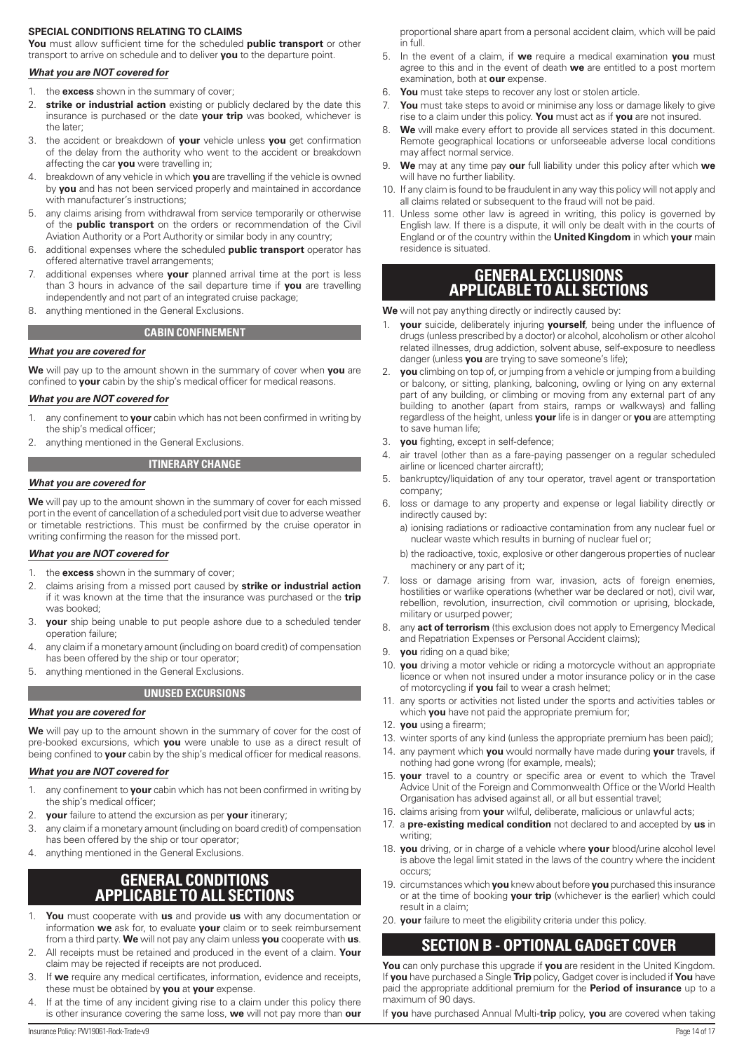#### <span id="page-13-0"></span>**SPECIAL CONDITIONS RELATING TO CLAIMS**

**You** must allow sufficient time for the scheduled **public transport** or other transport to arrive on schedule and to deliver **you** to the departure point.

#### *What you are NOT covered for*

- 1. the **excess** shown in the summary of cover;
- 2. **strike or industrial action** existing or publicly declared by the date this insurance is purchased or the date **your trip** was booked, whichever is the later;
- 3. the accident or breakdown of **your** vehicle unless **you** get confirmation of the delay from the authority who went to the accident or breakdown affecting the car **you** were travelling in;
- 4. breakdown of any vehicle in which **you** are travelling if the vehicle is owned by **you** and has not been serviced properly and maintained in accordance with manufacturer's instructions;
- 5. any claims arising from withdrawal from service temporarily or otherwise of the **public transport** on the orders or recommendation of the Civil Aviation Authority or a Port Authority or similar body in any country;
- 6. additional expenses where the scheduled **public transport** operator has offered alternative travel arrangements;
- 7. additional expenses where **your** planned arrival time at the port is less than 3 hours in advance of the sail departure time if **you** are travelling independently and not part of an integrated cruise package;
- 8. anything mentioned in the General Exclusions.

#### **CABIN CONFINEMENT**

#### *What you are covered for*

**We** will pay up to the amount shown in the summary of cover when **you** are confined to **your** cabin by the ship's medical officer for medical reasons.

#### *What you are NOT covered for*

- 1. any confinement to **your** cabin which has not been confirmed in writing by the ship's medical officer;
- 2. anything mentioned in the General Exclusions.

#### **ITINERARY CHANGE**

#### *What you are covered for*

**We** will pay up to the amount shown in the summary of cover for each missed port in the event of cancellation of a scheduled port visit due to adverse weather or timetable restrictions. This must be confirmed by the cruise operator in writing confirming the reason for the missed port.

#### *What you are NOT covered for*

- 1. the **excess** shown in the summary of cover;
- 2. claims arising from a missed port caused by **strike or industrial action** if it was known at the time that the insurance was purchased or the **trip** was booked;
- 3. **your** ship being unable to put people ashore due to a scheduled tender operation failure;
- 4. any claim if a monetary amount (including on board credit) of compensation has been offered by the ship or tour operator;
- 5. anything mentioned in the General Exclusions.

#### **UNUSED EXCURSIONS**

#### *What you are covered for*

**We** will pay up to the amount shown in the summary of cover for the cost of pre-booked excursions, which **you** were unable to use as a direct result of being confined to **your** cabin by the ship's medical officer for medical reasons.

#### *What you are NOT covered for*

- 1. any confinement to **your** cabin which has not been confirmed in writing by the ship's medical officer;
- 2. **your** failure to attend the excursion as per **your** itinerary;
- 3. any claim if a monetary amount (including on board credit) of compensation has been offered by the ship or tour operator;
- 4. anything mentioned in the General Exclusions.

# **GENERAL CONDITIONS APPLICABLE TO ALL SECTIONS**

- 1. **You** must cooperate with **us** and provide **us** with any documentation or information **we** ask for, to evaluate **your** claim or to seek reimbursement from a third party. **We** will not pay any claim unless **you** cooperate with **us**.
- 2. All receipts must be retained and produced in the event of a claim. **Your** claim may be rejected if receipts are not produced.
- If we require any medical certificates, information, evidence and receipts, these must be obtained by **you** at **your** expense.
- If at the time of any incident giving rise to a claim under this policy there is other insurance covering the same loss, **we** will not pay more than **our**

proportional share apart from a personal accident claim, which will be paid in full.

- 5. In the event of a claim, if **we** require a medical examination **you** must agree to this and in the event of death **we** are entitled to a post mortem examination, both at **our** expense.
- 6. **You** must take steps to recover any lost or stolen article.
- 7. **You** must take steps to avoid or minimise any loss or damage likely to give rise to a claim under this policy. **You** must act as if **you** are not insured.
- We will make every effort to provide all services stated in this document. Remote geographical locations or unforseeable adverse local conditions may affect normal service.
- 9. **We** may at any time pay **our** full liability under this policy after which **we** will have no further liability.
- 10. If any claim is found to be fraudulent in any way this policy will not apply and all claims related or subsequent to the fraud will not be paid.
- 11. Unless some other law is agreed in writing, this policy is governed by English law. If there is a dispute, it will only be dealt with in the courts of England or of the country within the **United Kingdom** in which **your** main residence is situated.

# **GENERAL EXCLUSIONS APPLICABLE TO ALL SECTIONS**

**We** will not pay anything directly or indirectly caused by:

- **your** suicide, deliberately injuring **yourself**, being under the influence of drugs (unless prescribed by a doctor) or alcohol, alcoholism or other alcohol related illnesses, drug addiction, solvent abuse, self-exposure to needless danger (unless **you** are trying to save someone's life);
- 2. **you** climbing on top of, or jumping from a vehicle or jumping from a building or balcony, or sitting, planking, balconing, owling or lying on any external part of any building, or climbing or moving from any external part of any building to another (apart from stairs, ramps or walkways) and falling regardless of the height, unless **your** life is in danger or **you** are attempting to save human life;
- 3. **you** fighting, except in self-defence;
- 4. air travel (other than as a fare-paying passenger on a regular scheduled airline or licenced charter aircraft);
- 5. bankruptcy/liquidation of any tour operator, travel agent or transportation company;
- 6. loss or damage to any property and expense or legal liability directly or indirectly caused by:
	- a) ionising radiations or radioactive contamination from any nuclear fuel or nuclear waste which results in burning of nuclear fuel or;
	- b) the radioactive, toxic, explosive or other dangerous properties of nuclear machinery or any part of it;
- loss or damage arising from war, invasion, acts of foreign enemies, hostilities or warlike operations (whether war be declared or not), civil war, rebellion, revolution, insurrection, civil commotion or uprising, blockade, military or usurped power;
- 8. any **act of terrorism** (this exclusion does not apply to Emergency Medical and Repatriation Expenses or Personal Accident claims);
- 9. **you** riding on a quad bike;
- 10. **you** driving a motor vehicle or riding a motorcycle without an appropriate licence or when not insured under a motor insurance policy or in the case of motorcycling if **you** fail to wear a crash helmet;
- 11. any sports or activities not listed under the sports and activities tables or which **you** have not paid the appropriate premium for;
- 
- 12. **you** using a firearm; 13. winter sports of any kind (unless the appropriate premium has been paid);
- 14. any payment which **you** would normally have made during **your** travels, if nothing had gone wrong (for example, meals);
- 15. **your** travel to a country or specific area or event to which the Travel Advice Unit of the Foreign and Commonwealth Office or the World Health Organisation has advised against all, or all but essential travel;
- 16. claims arising from **your** wilful, deliberate, malicious or unlawful acts;
- 17. a **pre-existing medical condition** not declared to and accepted by **us** in writing;
- 18. **you** driving, or in charge of a vehicle where **your** blood/urine alcohol level is above the legal limit stated in the laws of the country where the incident occurs;
- 19. circumstances which **you** knew about before **you** purchased this insurance or at the time of booking **your trip** (whichever is the earlier) which could result in a claim;
- 20. **your** failure to meet the eligibility criteria under this policy.

# **SECTION B - OPTIONAL GADGET COVER**

**You** can only purchase this upgrade if **you** are resident in the United Kingdom. If **you** have purchased a Single **Trip** policy, Gadget cover is included if **You** have paid the appropriate additional premium for the **Period of insurance** up to a maximum of 90 days.

If **you** have purchased Annual Multi-**trip** policy, **you** are covered when taking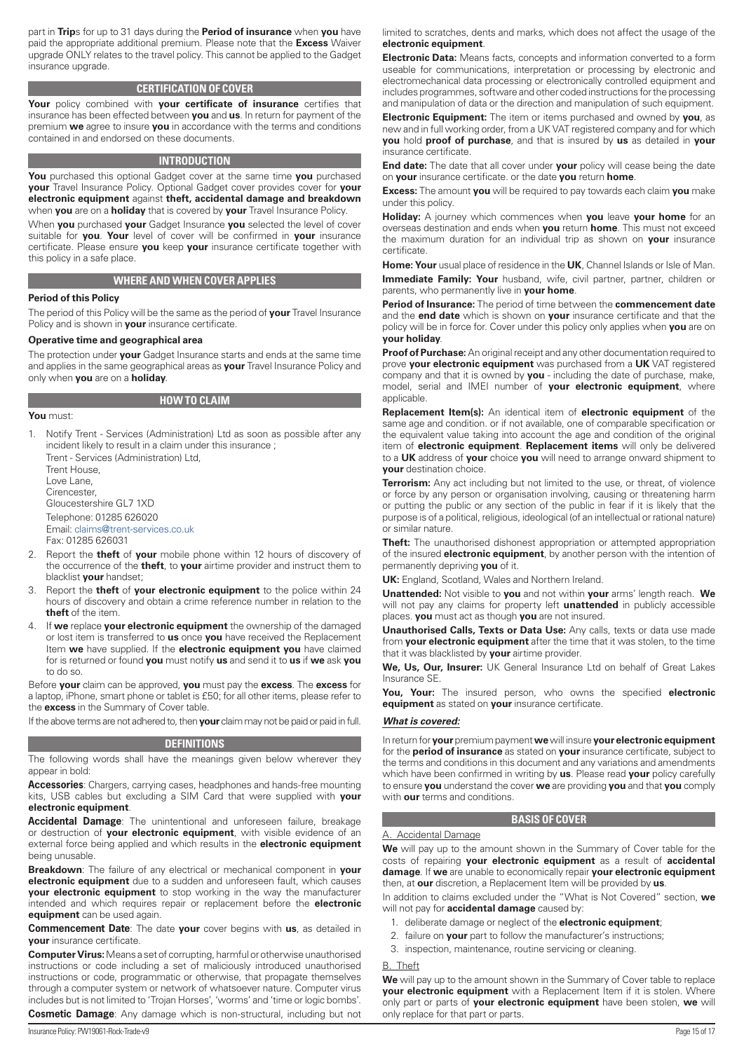<span id="page-14-0"></span>part in **Trip**s for up to 31 days during the **Period of insurance** when **you** have paid the appropriate additional premium. Please note that the **Excess** Waiver upgrade ONLY relates to the travel policy. This cannot be applied to the Gadget insurance upgrade.

# **CERTIFICATION OF COVER**

**Your** policy combined with **your certificate of insurance** certifies that insurance has been effected between **you** and **us**. In return for payment of the premium **we** agree to insure **you** in accordance with the terms and conditions contained in and endorsed on these documents.

#### **INTRODUCTION**

**You** purchased this optional Gadget cover at the same time **you** purchased **your** Travel Insurance Policy. Optional Gadget cover provides cover for **your electronic equipment** against **theft, accidental damage and breakdown**  when **you** are on a **holiday** that is covered by **your** Travel Insurance Policy.

When **you** purchased **your** Gadget Insurance **you** selected the level of cover suitable for **you**. **Your** level of cover will be confirmed in **your** insurance certificate. Please ensure **you** keep **your** insurance certificate together with this policy in a safe place.

# **WHERE AND WHEN COVER APPLIES**

#### **Period of this Policy**

The period of this Policy will be the same as the period of **your** Travel Insurance Policy and is shown in **your** insurance certificate.

#### **Operative time and geographical area**

The protection under **your** Gadget Insurance starts and ends at the same time and applies in the same geographical areas as **your** Travel Insurance Policy and only when **you** are on a **holiday**.

**You** must:

1. Notify Trent - Services (Administration) Ltd as soon as possible after any incident likely to result in a claim under this insurance ;

Trent - Services (Administration) Ltd, Trent House, Love Lane, Cirencester, Gloucestershire GL7 1XD Telephone: 01285 626020 Email: [claims@trent-services.co.uk](mailto:claims@trent-services.co.uk) Fax: 01285 626031

- 2. Report the **theft** of **your** mobile phone within 12 hours of discovery of the occurrence of the **theft**, to **your** airtime provider and instruct them to blacklist **your** handset;
- 3. Report the **theft** of **your electronic equipment** to the police within 24 hours of discovery and obtain a crime reference number in relation to the **theft** of the item.
- 4. If **we** replace **your electronic equipment** the ownership of the damaged or lost item is transferred to **us** once **you** have received the Replacement Item **we** have supplied. If the **electronic equipment you** have claimed for is returned or found **you** must notify **us** and send it to **us** if **we** ask **you** to do so.

Before **your** claim can be approved, **you** must pay the **excess**. The **excess** for a laptop, iPhone, smart phone or tablet is £50; for all other items, please refer to the **excess** in the Summary of Cover table.

If the above terms are not adhered to, then **your** claim may not be paid or paid in full.

#### **DEFINITIONS**

The following words shall have the meanings given below wherever they appear in bold:

**Accessories**: Chargers, carrying cases, headphones and hands-free mounting kits, USB cables but excluding a SIM Card that were supplied with **your electronic equipment**.

**Accidental Damage**: The unintentional and unforeseen failure, breakage or destruction of **your electronic equipment**, with visible evidence of an external force being applied and which results in the **electronic equipment** being unusable.

**Breakdown**: The failure of any electrical or mechanical component in **your electronic equipment** due to a sudden and unforeseen fault, which causes **your electronic equipment** to stop working in the way the manufacturer intended and which requires repair or replacement before the **electronic equipment** can be used again.

**Commencement Date**: The date **your** cover begins with **us**, as detailed in **your** insurance certificate.

**Computer Virus:** Means a set of corrupting, harmful or otherwise unauthorised instructions or code including a set of maliciously introduced unauthorised instructions or code, programmatic or otherwise, that propagate themselves through a computer system or network of whatsoever nature. Computer virus includes but is not limited to 'Trojan Horses', 'worms' and 'time or logic bombs'.

**Cosmetic Damage**: Any damage which is non-structural, including but not

limited to scratches, dents and marks, which does not affect the usage of the **electronic equipment**.

**Electronic Data:** Means facts, concepts and information converted to a form useable for communications, interpretation or processing by electronic and electromechanical data processing or electronically controlled equipment and includes programmes, software and other coded instructions for the processing and manipulation of data or the direction and manipulation of such equipment.

**Electronic Equipment:** The item or items purchased and owned by **you**, as new and in full working order, from a UK VAT registered company and for which **you** hold **proof of purchase**, and that is insured by **us** as detailed in **your** insurance certificate.

**End date:** The date that all cover under **your** policy will cease being the date on **your** insurance certificate. or the date **you** return **home**.

**Excess:** The amount **you** will be required to pay towards each claim **you** make under this policy.

**Holiday:** A journey which commences when **you** leave **your home** for an overseas destination and ends when **you** return **home**. This must not exceed the maximum duration for an individual trip as shown on **your** insurance certificate.

**Home: Your** usual place of residence in the **UK**, Channel Islands or Isle of Man. **Immediate Family: Your** husband, wife, civil partner, partner, children or parents, who permanently live in **your home**.

**Period of Insurance:** The period of time between the **commencement date** and the **end date** which is shown on **your** insurance certificate and that the policy will be in force for. Cover under this policy only applies when **you** are on **your holiday**.

**Proof of Purchase:** An original receipt and any other documentation required to prove **your electronic equipment** was purchased from a **UK** VAT registered company and that it is owned by **you** - including the date of purchase, make, model, serial and IMEI number of **your electronic equipment**, where applicable.

**Replacement Item(s):** An identical item of **electronic equipment** of the same age and condition. or if not available, one of comparable specification or the equivalent value taking into account the age and condition of the original item of **electronic equipment**. **Replacement items** will only be delivered to a **UK** address of **your** choice **you** will need to arrange onward shipment to **your** destination choice.

**Terrorism:** Any act including but not limited to the use, or threat, of violence or force by any person or organisation involving, causing or threatening harm or putting the public or any section of the public in fear if it is likely that the purpose is of a political, religious, ideological (of an intellectual or rational nature) or similar nature.

**Theft:** The unauthorised dishonest appropriation or attempted appropriation of the insured **electronic equipment**, by another person with the intention of permanently depriving **you** of it.

**UK:** England, Scotland, Wales and Northern Ireland.

**Unattended:** Not visible to **you** and not within **your** arms' length reach. **We** will not pay any claims for property left **unattended** in publicly accessible places. **you** must act as though **you** are not insured.

**Unauthorised Calls, Texts or Data Use:** Any calls, texts or data use made from **your electronic equipment** after the time that it was stolen, to the time that it was blacklisted by **your** airtime provider.

**We, Us, Our, Insurer:** UK General Insurance Ltd on behalf of Great Lakes Insurance SE.

**You, Your:** The insured person, who owns the specified **electronic equipment** as stated on **your** insurance certificate.

#### *What is covered:*

In return for **your** premium payment **we** will insure **yourelectronic equipment** for the **period of insurance** as stated on **your** insurance certificate, subject to the terms and conditions in this document and any variations and amendments which have been confirmed in writing by **us**. Please read **your** policy carefully to ensure **you** understand the cover **we** are providing **you** and that **you** comply with **our** terms and conditions.

#### **BASIS OF COVER**

#### A. Accidental Damage

**We** will pay up to the amount shown in the Summary of Cover table for the costs of repairing **your electronic equipment** as a result of **accidental damage**. If **we** are unable to economically repair **your electronic equipment** then, at **our** discretion, a Replacement Item will be provided by **us**.

In addition to claims excluded under the "What is Not Covered" section, **we** will not pay for **accidental damage** caused by:

- 1. deliberate damage or neglect of the **electronic equipment**;
- 2. failure on **your** part to follow the manufacturer's instructions;
- 3. inspection, maintenance, routine servicing or cleaning.

B. Theft

**We** will pay up to the amount shown in the Summary of Cover table to replace **your electronic equipment** with a Replacement Item if it is stolen. Where only part or parts of **your electronic equipment** have been stolen, **we** will only replace for that part or parts.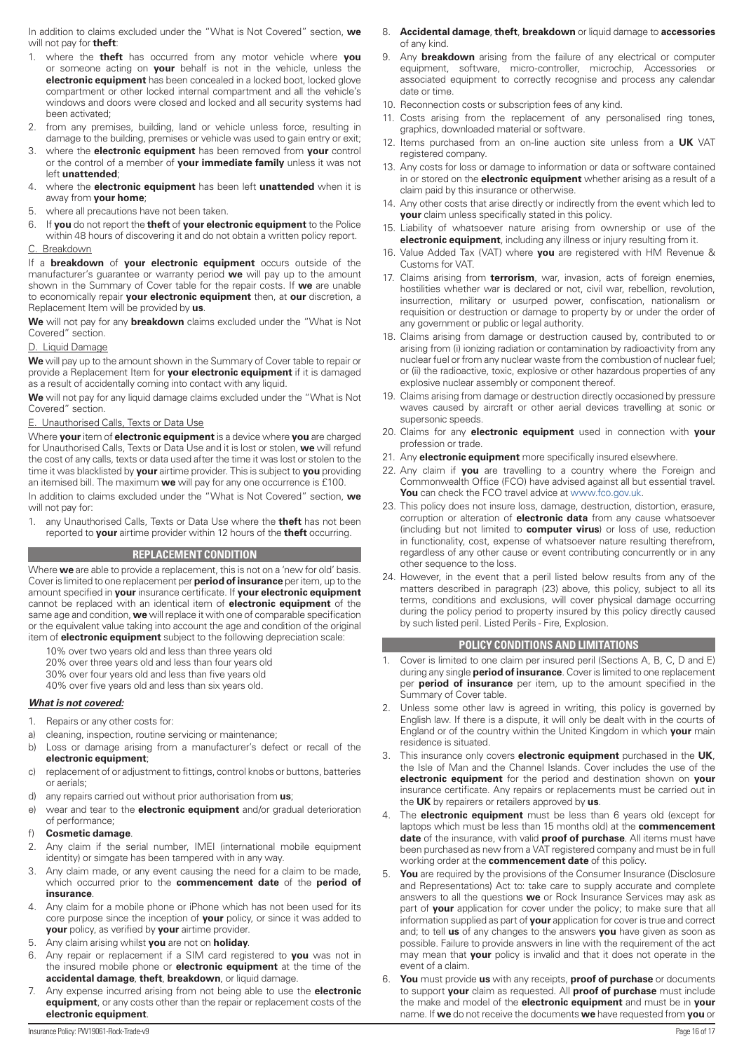In addition to claims excluded under the "What is Not Covered" section, **we** will not pay for **theft**:

- 1. where the **theft** has occurred from any motor vehicle where **you** or someone acting on **your** behalf is not in the vehicle, unless the **electronic equipment** has been concealed in a locked boot, locked glove compartment or other locked internal compartment and all the vehicle's windows and doors were closed and locked and all security systems had been activated;
- 2. from any premises, building, land or vehicle unless force, resulting in damage to the building, premises or vehicle was used to gain entry or exit;
- 3. where the **electronic equipment** has been removed from **your** control or the control of a member of **your immediate family** unless it was not left **unattended**;
- 4. where the **electronic equipment** has been left **unattended** when it is away from **your home**;
- 5. where all precautions have not been taken.
- 6. If **you** do not report the **theft** of **your electronic equipment** to the Police within 48 hours of discovering it and do not obtain a written policy report. C. Breakdown

If a **breakdown** of **your electronic equipment** occurs outside of the

manufacturer's guarantee or warranty period **we** will pay up to the amount shown in the Summary of Cover table for the repair costs. If **we** are unable to economically repair **your electronic equipment** then, at **our** discretion, a Replacement Item will be provided by **us**.

**We** will not pay for any **breakdown** claims excluded under the "What is Not Covered" section.

# D. Liquid Damage

**We** will pay up to the amount shown in the Summary of Cover table to repair or provide a Replacement Item for **your electronic equipment** if it is damaged as a result of accidentally coming into contact with any liquid.

**We** will not pay for any liquid damage claims excluded under the "What is Not Covered" section.

E. Unauthorised Calls, Texts or Data Use

Where **your** item of **electronic equipment** is a device where **you** are charged for Unauthorised Calls, Texts or Data Use and it is lost or stolen, **we** will refund the cost of any calls, texts or data used after the time it was lost or stolen to the time it was blacklisted by **your** airtime provider. This is subject to **you** providing an itemised bill. The maximum **we** will pay for any one occurrence is £100.

In addition to claims excluded under the "What is Not Covered" section, **we** will not pay for:

1. any Unauthorised Calls, Texts or Data Use where the **theft** has not been reported to **your** airtime provider within 12 hours of the **theft** occurring.

# **REPLACEMENT CONDITION**

Where **we** are able to provide a replacement, this is not on a 'new for old' basis. Cover is limited to one replacement per **period of insurance** per item, up to the amount specified in **your** insurance certificate. If **your electronic equipment** cannot be replaced with an identical item of **electronic equipment** of the same age and condition, **we** will replace it with one of comparable specification or the equivalent value taking into account the age and condition of the original item of **electronic equipment** subject to the following depreciation scale:

- 10% over two years old and less than three years old
- 20% over three years old and less than four years old
- 30% over four years old and less than five years old
- 40% over five years old and less than six years old.

# *What is not covered:*

- 1. Repairs or any other costs for:
- a) cleaning, inspection, routine servicing or maintenance;
- b) Loss or damage arising from a manufacturer's defect or recall of the **electronic equipment**;
- c) replacement of or adjustment to fittings, control knobs or buttons, batteries or aerials;
- d) any repairs carried out without prior authorisation from **us**;
- e) wear and tear to the **electronic equipment** and/or gradual deterioration of performance;
- f) **Cosmetic damage**.
- 2. Any claim if the serial number, IMEI (international mobile equipment identity) or simgate has been tampered with in any way.
- 3. Any claim made, or any event causing the need for a claim to be made, which occurred prior to the **commencement date** of the **period of insurance**.
- 4. Any claim for a mobile phone or iPhone which has not been used for its core purpose since the inception of **your** policy, or since it was added to **your** policy, as verified by **your** airtime provider.
- 5. Any claim arising whilst **you** are not on **holiday**.
- 6. Any repair or replacement if a SIM card registered to **you** was not in the insured mobile phone or **electronic equipment** at the time of the **accidental damage**, **theft**, **breakdown**, or liquid damage.
- 7. Any expense incurred arising from not being able to use the **electronic equipment**, or any costs other than the repair or replacement costs of the **electronic equipment**.
- 8. **Accidental damage**, **theft**, **breakdown** or liquid damage to **accessories** of any kind.
- 9. Any **breakdown** arising from the failure of any electrical or computer equipment, software, micro-controller, microchip, Accessories or associated equipment to correctly recognise and process any calendar date or time.
- 10. Reconnection costs or subscription fees of any kind.
- 11. Costs arising from the replacement of any personalised ring tones, graphics, downloaded material or software.
- 12. Items purchased from an on-line auction site unless from a **UK** VAT registered company.
- 13. Any costs for loss or damage to information or data or software contained in or stored on the **electronic equipment** whether arising as a result of a claim paid by this insurance or otherwise.
- 14. Any other costs that arise directly or indirectly from the event which led to **your** claim unless specifically stated in this policy.
- 15. Liability of whatsoever nature arising from ownership or use of the **electronic equipment**, including any illness or injury resulting from it.
- 16. Value Added Tax (VAT) where **you** are registered with HM Revenue & Customs for VAT.
- 17. Claims arising from **terrorism**, war, invasion, acts of foreign enemies, hostilities whether war is declared or not, civil war, rebellion, revolution, insurrection, military or usurped power, confiscation, nationalism or requisition or destruction or damage to property by or under the order of any government or public or legal authority.
- 18. Claims arising from damage or destruction caused by, contributed to or arising from (i) ionizing radiation or contamination by radioactivity from any nuclear fuel or from any nuclear waste from the combustion of nuclear fuel; or (ii) the radioactive, toxic, explosive or other hazardous properties of any explosive nuclear assembly or component thereof.
- 19. Claims arising from damage or destruction directly occasioned by pressure waves caused by aircraft or other aerial devices travelling at sonic or supersonic speeds.
- 20. Claims for any **electronic equipment** used in connection with **your** profession or trade.
- 21. Any **electronic equipment** more specifically insured elsewhere.
- 22. Any claim if **you** are travelling to a country where the Foreign and Commonwealth Office (FCO) have advised against all but essential travel. You can check the FCO travel advice at [www.fco.gov.uk](http://www.fco.gov.uk).
- 23. This policy does not insure loss, damage, destruction, distortion, erasure, corruption or alteration of **electronic data** from any cause whatsoever (including but not limited to **computer virus**) or loss of use, reduction in functionality, cost, expense of whatsoever nature resulting therefrom, regardless of any other cause or event contributing concurrently or in any other sequence to the loss.
- 24. However, in the event that a peril listed below results from any of the matters described in paragraph (23) above, this policy, subject to all its terms, conditions and exclusions, will cover physical damage occurring during the policy period to property insured by this policy directly caused by such listed peril. Listed Perils - Fire, Explosion.

# **POLICY CONDITIONS AND LIMITATIONS**

- 1. Cover is limited to one claim per insured peril (Sections A, B, C, D and E) during any single **period of insurance**. Cover is limited to one replacement per **period of insurance** per item, up to the amount specified in the Summary of Cover table.
- 2. Unless some other law is agreed in writing, this policy is governed by English law. If there is a dispute, it will only be dealt with in the courts of England or of the country within the United Kingdom in which **your** main residence is situated.
- 3. This insurance only covers **electronic equipment** purchased in the **UK**, the Isle of Man and the Channel Islands. Cover includes the use of the **electronic equipment** for the period and destination shown on **your** insurance certificate. Any repairs or replacements must be carried out in the **UK** by repairers or retailers approved by **us**.
- 4. The **electronic equipment** must be less than 6 years old (except for laptops which must be less than 15 months old) at the **commencement date** of the insurance, with valid **proof of purchase**. All items must have been purchased as new from a VAT registered company and must be in full working order at the **commencement date** of this policy.
- 5. **You** are required by the provisions of the Consumer Insurance (Disclosure and Representations) Act to: take care to supply accurate and complete answers to all the questions **we** or Rock Insurance Services may ask as part of **your** application for cover under the policy; to make sure that all information supplied as part of **your** application for cover is true and correct and; to tell **us** of any changes to the answers **you** have given as soon as possible. Failure to provide answers in line with the requirement of the act may mean that **your** policy is invalid and that it does not operate in the event of a claim.
- 6. **You** must provide **us** with any receipts, **proof of purchase** or documents to support **your** claim as requested. All **proof of purchase** must include the make and model of the **electronic equipment** and must be in **your** name. If **we** do not receive the documents **we** have requested from **you** or